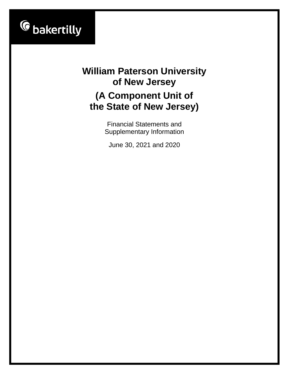

Financial Statements and Supplementary Information

June 30, 2021 and 2020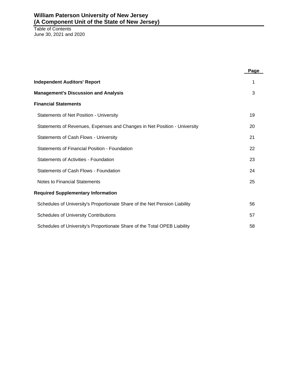Table of Contents June 30, 2021 and 2020

|                                                                            | <b>Page</b> |
|----------------------------------------------------------------------------|-------------|
| <b>Independent Auditors' Report</b>                                        | 1           |
| <b>Management's Discussion and Analysis</b>                                | 3           |
| <b>Financial Statements</b>                                                |             |
| Statements of Net Position - University                                    | 19          |
| Statements of Revenues, Expenses and Changes in Net Position - University  | 20          |
| Statements of Cash Flows - University                                      | 21          |
| Statements of Financial Position - Foundation                              | 22          |
| Statements of Activities - Foundation                                      | 23          |
| <b>Statements of Cash Flows - Foundation</b>                               | 24          |
| Notes to Financial Statements                                              | 25          |
| <b>Required Supplementary Information</b>                                  |             |
| Schedules of University's Proportionate Share of the Net Pension Liability | 56          |
| <b>Schedules of University Contributions</b>                               | 57          |
| Schedules of University's Proportionate Share of the Total OPEB Liability  | 58          |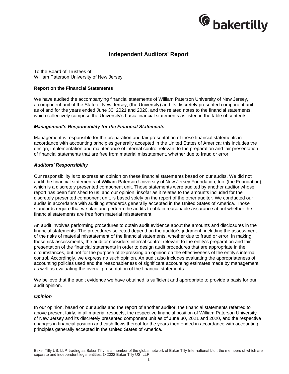

### **Independent Auditors' Report**

To the Board of Trustees of William Paterson University of New Jersey

#### **Report on the Financial Statements**

We have audited the accompanying financial statements of William Paterson University of New Jersey, a component unit of the State of New Jersey, (the University) and its discretely presented component unit as of and for the years ended June 30, 2021 and 2020, and the related notes to the financial statements, which collectively comprise the University's basic financial statements as listed in the table of contents.

#### *Management's Responsibility for the Financial Statements*

Management is responsible for the preparation and fair presentation of these financial statements in accordance with accounting principles generally accepted in the United States of America; this includes the design, implementation and maintenance of internal control relevant to the preparation and fair presentation of financial statements that are free from material misstatement, whether due to fraud or error.

### *Auditors' Responsibility*

Our responsibility is to express an opinion on these financial statements based on our audits. We did not audit the financial statements of William Paterson University of New Jersey Foundation, Inc. (the Foundation), which is a discretely presented component unit. Those statements were audited by another auditor whose report has been furnished to us, and our opinion, insofar as it relates to the amounts included for the discretely presented component unit, is based solely on the report of the other auditor. We conducted our audits in accordance with auditing standards generally accepted in the United States of America. Those standards require that we plan and perform the audits to obtain reasonable assurance about whether the financial statements are free from material misstatement.

An audit involves performing procedures to obtain audit evidence about the amounts and disclosures in the financial statements. The procedures selected depend on the auditor's judgment, including the assessment of the risks of material misstatement of the financial statements, whether due to fraud or error. In making those risk assessments, the auditor considers internal control relevant to the entity's preparation and fair presentation of the financial statements in order to design audit procedures that are appropriate in the circumstances, but not for the purpose of expressing an opinion on the effectiveness of the entity's internal control. Accordingly, we express no such opinion. An audit also includes evaluating the appropriateness of accounting policies used and the reasonableness of significant accounting estimates made by management, as well as evaluating the overall presentation of the financial statements.

We believe that the audit evidence we have obtained is sufficient and appropriate to provide a basis for our audit opinion.

### *Opinion*

In our opinion, based on our audits and the report of another auditor, the financial statements referred to above present fairly, in all material respects, the respective financial position of William Paterson University of New Jersey and its discretely presented component unit as of June 30, 2021 and 2020, and the respective changes in financial position and cash flows thereof for the years then ended in accordance with accounting principles generally accepted in the United States of America.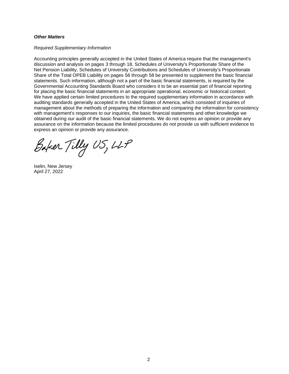#### *Other Matters*

#### *Required Supplementary Information*

Accounting principles generally accepted in the United States of America require that the management's discussion and analysis on pages 3 through 18, Schedules of University's Proportionate Share of the Net Pension Liability, Schedules of University Contributions and Schedules of University's Proportionate Share of the Total OPEB Liability on pages 56 through 58 be presented to supplement the basic financial statements. Such information, although not a part of the basic financial statements, is required by the Governmental Accounting Standards Board who considers it to be an essential part of financial reporting for placing the basic financial statements in an appropriate operational, economic or historical context. We have applied certain limited procedures to the required supplementary information in accordance with auditing standards generally accepted in the United States of America, which consisted of inquiries of management about the methods of preparing the information and comparing the information for consistency with management's responses to our inquiries, the basic financial statements and other knowledge we obtained during our audit of the basic financial statements. We do not express an opinion or provide any assurance on the information because the limited procedures do not provide us with sufficient evidence to express an opinion or provide any assurance.

Baker Tilly US, LLP

Iselin, New Jersey April 27, 2022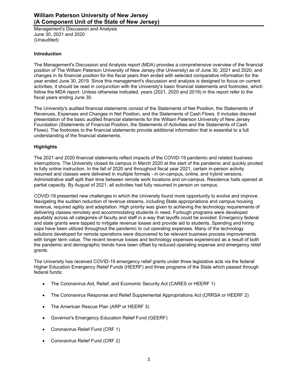Management's Discussion and Analysis June 30, 2021 and 2020 (Unaudited)

### **Introduction**

The Management's Discussion and Analysis report (MDA) provides a comprehensive overview of the financial position of The William Paterson University of New Jersey (the University) as of June 30, 2021 and 2020, and changes in its financial position for the fiscal years then ended with selected comparative information for the year ended June 30, 2019. Since this management's discussion and analysis is designed to focus on current activities, it should be read in conjunction with the University's basic financial statements and footnotes, which follow the MDA report. Unless otherwise indicated, years (2021, 2020 and 2019) in this report refer to the fiscal years ending June 30.

The University's audited financial statements consist of the Statements of Net Position, the Statements of Revenues, Expenses and Changes in Net Position, and the Statements of Cash Flows. It includes discreet presentation of the basic audited financial statements for the William Paterson University of New Jersey Foundation (Statements of Financial Position, the Statements of Activities and the Statements of Cash Flows). The footnotes to the financial statements provide additional information that is essential to a full understanding of the financial statements.

### **Highlights**

The 2021 and 2020 financial statements reflect impacts of the COVID-19 pandemic and related business interruptions. The University closed its campus in March 2020 at the start of the pandemic and quickly pivoted to fully online instruction. In the fall of 2020 and throughout fiscal year 2021, certain in-person activity resumed and classes were delivered in multiple formats - in on-campus, online, and hybrid versions. Administrative staff split their time between remote work locations and on-campus. Residence halls opened at partial capacity. By August of 2021, all activities had fully resumed in person on campus.

COVID-19 presented new challenges in which the University found more opportunity to evolve and improve. Navigating the sudden reduction of revenue streams, including State appropriations and campus housing revenue, required agility and adaptation. High priority was given to achieving the technology requirements of delivering classes remotely and accommodating students in need. Furlough programs were developed equitably across all categories of faculty and staff in a way that layoffs could be avoided. Emergency federal and state grants were tapped to mitigate revenue losses and provide aid to students. Spending and hiring caps have been utilized throughout the pandemic to cut operating expenses. Many of the technology solutions developed for remote operations were discovered to be relevant business process improvements with longer term value. The recent revenue losses and technology expenses experienced as a result of both the pandemic and demographic trends have been offset by reduced operating expense and emergency relief grants.

The University has received COVID-19 emergency relief grants under three legislative acts via the federal Higher Education Emergency Relief Funds (HEERF) and three programs of the State which passed through federal funds:

- The Coronavirus Aid, Relief, and Economic Security Act (CARES or HEERF 1)
- The Coronavirus Response and Relief Supplemental Appropriations Act (CRRSA or HEERF 2)
- The American Rescue Plan (ARP or HEERF 3)
- Governor's Emergency Education Relief Fund (GEERF)
- Coronavirus Relief Fund (CRF 1)
- Coronavirus Relief Fund (CRF 2)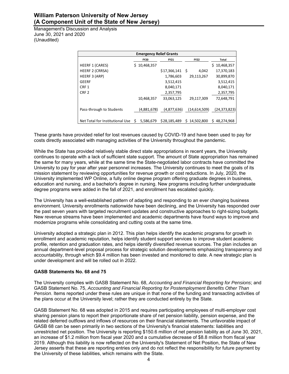Management's Discussion and Analysis June 30, 2021 and 2020 (Unaudited)

| <b>Emergency Relief Grants</b>  |   |             |              |    |              |    |                |  |
|---------------------------------|---|-------------|--------------|----|--------------|----|----------------|--|
|                                 |   | <b>FY20</b> | <b>FY21</b>  |    | <b>FY22</b>  |    | Total          |  |
| <b>HEERF 1 (CARES)</b>          | s | 10,468,357  |              |    |              | S. | 10,468,357     |  |
| <b>HEERF 2 (CRRSA)</b>          |   |             | \$17,366,141 | Ŝ  | 4,042        |    | 17,370,183     |  |
| HEERF 3 (ARP)                   |   |             | 1,786,603    |    | 29,113,267   |    | 30,899,870     |  |
| GEERF                           |   |             | 3,512,415    |    |              |    | 3,512,415      |  |
| CRF <sub>1</sub>                |   |             | 8,040,171    |    |              |    | 8,040,171      |  |
| CRF <sub>2</sub>                |   |             | 2,357,795    |    |              |    | 2,357,795      |  |
|                                 |   | 10,468,357  | 33,063,125   |    | 29,117,309   |    | 72,648,791     |  |
| Pass-through to Students        |   | (4,881,678) | (4,877,636)  |    | (14,614,509) |    | (24, 373, 823) |  |
| Net Total for Institutional Use | S | 5.586.679   | \$28.185.489 | Ś. | 14.502.800   | S. | 48.274.968     |  |

These grants have provided relief for lost revenues caused by COVID-19 and have been used to pay for costs directly associated with managing activities of the University throughout the pandemic.

While the State has provided relatively stable direct state appropriations in recent years, the University continues to operate with a lack of sufficient state support. The amount of State appropriation has remained the same for many years, while at the same time the State-negotiated labor contracts have committed the University to pay for year after year personnel increases. The University continues to meet the goals of its mission statement by reviewing opportunities for revenue growth or cost reductions. In July, 2020, the University implemented WP Online, a fully online degree program offering graduate degrees in business, education and nursing, and a bachelor's degree in nursing. New programs including further undergraduate degree programs were added in the fall of 2021, and enrollment has escalated quickly.

The University has a well-established pattern of adapting and responding to an ever changing business environment. University enrollments nationwide have been declining, and the University has responded over the past seven years with targeted recruitment updates and constructive approaches to right-sizing budgets. New revenue streams have been implemented and academic departments have found ways to improve and modernize programs while consolidating and cutting costs at the same time.

University adopted a strategic plan in 2012. This plan helps identify the academic programs for growth in enrollment and academic reputation, helps identify student support services to improve student academic profile, retention and graduation rates, and helps identify diversified revenue sources. The plan includes an annual department-level proposal process for strategic solution developments emphasizing transparency and accountability, through which \$9.4 million has been invested and monitored to date. A new strategic plan is under development and will be rolled out in 2022.

### **GASB Statements No. 68 and 75**

The University complies with GASB Statement No. 68, *Accounting and Financial Reporting for Pensions*; and GASB Statement No. 75, *Accounting and Financial Reporting for Postemployment Benefits Other Than Pension*. Items reported under these rules are unique in that none of the funding and transacting activities of the plans occur at the University level; rather they are conducted entirely by the State.

GASB Statement No. 68 was adopted in 2015 and requires participating employees of multi-employer cost sharing pension plans to report their proportionate share of net pension liability, pension expense, and the related deferred outflows and inflows of resources on their financial statements. The unfavorable impact of GASB 68 can be seen primarily in two sections of the University's financial statements: liabilities and unrestricted net position. The University is reporting \$150.6 million of net pension liability as of June 30, 2021, an increase of \$1.2 million from fiscal year 2020 and a cumulative decrease of \$8.8 million from fiscal year 2019. Although this liability is now reflected on the University's Statement of Net Position, the State of New Jersey asserts that these are reporting entries only and do not reflect the responsibility for future payment by the University of these liabilities, which remains with the State.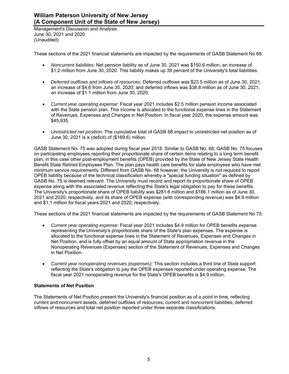Management's Discussion and Analysis June 30, 2021 and 2020 (Unaudited)

These sections of the 2021 financial statements are impacted by the requirements of GASB Statement No 68:

- *Noncurrent liabilities:* Net pension liability as of June 30, 2021 was \$150.6 million, an increase of \$1.2 million from June 30, 2020. This liability makes up 39 percent of the University's total liabilities.
- *Deferred outflows and inflows of resources:* Deferred outflows was \$23.5 million as of June 30, 2021, an increase of \$4.6 from June 30, 2020; and deferred inflows was \$38.8 million as of June 30, 2021, an increase of \$1.1 million from June 30, 2020.
- *Current year operating expense:* Fiscal year 2021 includes \$2.5 million pension income associated with the State pension plan. This income is allocated to the functional expense lines in the Statement of Revenues, Expenses and Changes in Net Position. In fiscal year 2020, the expense amount was \$45,935.
- *Unrestricted net position:* The cumulative total of GASB 68 impact to unrestricted net position as of June 30, 2021 is a (deficit) of (\$169.6) million*.*

GASB Statement No. 75 was adopted during fiscal year 2018. Similar to GASB No. 68, GASB No. 75 focuses on participating employees reporting their proportionate share of certain items relating to a long term benefit plan, in this case other post-employment benefits (OPEB) provided by the State of New Jersey State Health Benefit State Retired Employees Plan. The plan pays health care benefits for state employees who have met minimum service requirements. Different from GASB No. 68 however, the University is not required to report OPEB liability because of the technical classification whereby a "special funding situation" as defined by GASB No. 75 is deemed relevant. The University must record and report its proportionate share of OPEB expense along with the associated revenue reflecting the State's legal obligation to pay for these benefits. The University's proportionate share of OPEB liability was \$281.6 million and \$186.1 million as of June 30, 2021 and 2020, respectively, and its share of OPEB expense (with corresponding revenue) was \$4.9 million and \$1.1 million for fiscal years 2021 and 2020, respectively.

These sections of the 2021 financial statements are impacted by the requirements of GASB Statement No 75:

- *Current year operating expense:* Fiscal year 2021 includes \$4.9 million for OPEB benefits expense representing the University's proportionate share of the State's plan expenses. The expense is allocated to the functional expense lines in the Statement of Revenues, Expenses and Changes in Net Position, and is fully offset by an equal amount of State appropriation revenue in the Nonoperating Revenues (Expenses) section of the Statement of Revenues, Expenses and Changes in Net Position.
- *Current year nonoperating revenues (expenses):* This section includes a third line of State support reflecting the State's obligation to pay the OPEB expenses reported under operating expense. The fiscal year 2021 nonoperating revenue for the State's OPEB benefits is \$4.9 million.

### **Statements of Net Position**

The Statements of Net Position present the University's financial position as of a point in time, reflecting current and noncurrent assets, deferred outflows of resources, current and noncurrent liabilities, deferred inflows of resources and total net position reported under three separate classifications.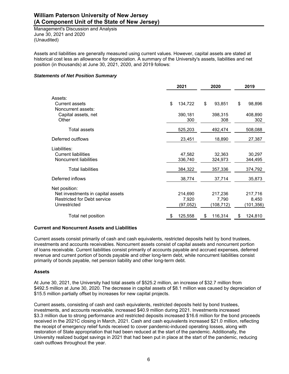Management's Discussion and Analysis June 30, 2021 and 2020 (Unaudited)

Assets and liabilities are generally measured using current values. However, capital assets are stated at historical cost less an allowance for depreciation. A summary of the University's assets, liabilities and net position (in thousands) at June 30, 2021, 2020, and 2019 follows:

### *Statements of Net Position Summary*

|                                      | 2021          | 2020          | 2019          |
|--------------------------------------|---------------|---------------|---------------|
| Assets:                              |               |               |               |
| Current assets<br>Noncurrent assets: | \$<br>134,722 | \$<br>93,851  | \$<br>98,896  |
| Capital assets, net                  | 390,181       | 398,315       | 408,890       |
| Other                                | 300           | 308           | 302           |
| Total assets                         | 525,203       | 492,474       | 508,088       |
| Deferred outflows                    | 23,451        | 18,890        | 27,387        |
| Liabilities:                         |               |               |               |
| <b>Current liabilities</b>           | 47,582        | 32,363        | 30,297        |
| Noncurrent liabilities               | 336,740       | 324,973       | 344,495       |
| <b>Total liabilities</b>             | 384,322       | 357,336       | 374,792       |
| Deferred inflows                     | 38,774        | 37,714        | 35,873        |
| Net position:                        |               |               |               |
| Net investments in capital assets    | 214,690       | 217,236       | 217,716       |
| <b>Restricted for Debt service</b>   | 7,920         | 7,790         | 8,450         |
| Unrestricted                         | (97,052)      | (108,712)     | (101, 356)    |
| Total net position                   | 125,558<br>\$ | 116,314<br>\$ | \$<br>124,810 |

### **Current and Noncurrent Assets and Liabilities**

Current assets consist primarily of cash and cash equivalents, restricted deposits held by bond trustees, investments and accounts receivables. Noncurrent assets consist of capital assets and noncurrent portion of loans receivable. Current liabilities consist primarily of accounts payable and accrued expenses, deferred revenue and current portion of bonds payable and other long-term debt, while noncurrent liabilities consist primarily of bonds payable, net pension liability and other long-term debt.

### **Assets**

At June 30, 2021, the University had total assets of \$525.2 million, an increase of \$32.7 million from \$492.5 million at June 30, 2020. The decrease in capital assets of \$8.1 million was caused by depreciation of \$15.5 million partially offset by increases for new capital projects.

Current assets, consisting of cash and cash equivalents, restricted deposits held by bond trustees, investments, and accounts receivable, increased \$40.9 million during 2021. Investments increased \$3.3 million due to strong performance and restricted deposits increased \$16.6 million for the bond proceeds received in the 2021C closing in March, 2021. Cash and cash equivalents increased \$21.0 million, reflecting the receipt of emergency relief funds received to cover pandemic-induced operating losses, along with restoration of State appropriation that had been reduced at the start of the pandemic. Additionally, the University realized budget savings in 2021 that had been put in place at the start of the pandemic, reducing cash outflows throughout the year.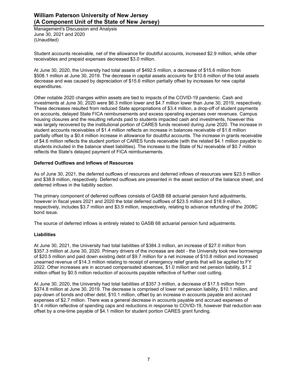Management's Discussion and Analysis June 30, 2021 and 2020 (Unaudited)

Student accounts receivable, net of the allowance for doubtful accounts, increased \$2.9 million, while other receivables and prepaid expenses decreased \$3.0 million.

At June 30, 2020, the University had total assets of \$492.5 million, a decrease of \$15.6 million from \$508.1 million at June 30, 2019. The decrease in capital assets accounts for \$10.6 million of the total assets decrease and was caused by depreciation of \$15.6 million partially offset by increases for new capital expenditures.

Other notable 2020 changes within assets are tied to impacts of the COVID-19 pandemic. Cash and investments at June 30, 2020 were \$6.3 million lower and \$4.7 million lower than June 30, 2019, respectively. These decreases resulted from reduced State appropriations of \$3.4 million, a drop-off of student payments on accounts, delayed State FICA reimbursements and excess operating expenses over revenues. Campus housing closures and the resulting refunds paid to students impacted cash and investments, however this was largely recovered by the institutional portion of CARES funds received during June 2020. The increase in student accounts receivables of \$1.4 million reflects an increase in balances receivable of \$1.8 million partially offset by a \$0.4 million increase in allowance for doubtful accounts. The increase in grants receivable of \$4.6 million reflects the student portion of CARES funds receivable (with the related \$4.1 million payable to students included in the balance sheet liabilities). The increase to the State of NJ receivable of \$0.7 million reflects the State's delayed payment of FICA reimbursements.

### **Deferred Outflows and Inflows of Resources**

As of June 30, 2021, the deferred outflows of resources and deferred inflows of resources were \$23.5 million and \$38.8 million, respectively. Deferred outflows are presented in the asset section of the balance sheet, and deferred inflows in the liability section.

The primary component of deferred outflows consists of GASB 68 actuarial pension fund adjustments, however in fiscal years 2021 and 2020 the total deferred outflows of \$23.5 million and \$18.9 million, respectively, includes \$3.7 million and \$3.9 million, respectively, relating to advance refunding of the 2008C bond issue.

The source of deferred inflows is entirely related to GASB 68 actuarial pension fund adjustments.

### **Liabilities**

At June 30, 2021, the University had total liabilities of \$384.3 million, an increase of \$27.0 million from \$357.3 million at June 30, 2020. Primary drivers of the increase are debt - the University took new borrowings of \$20.5 million and paid down existing debt of \$9.7 million for a net increase of \$10.8 million and increased unearned revenue of \$14.3 million relating to receipt of emergency relief grants that will be applied to FY 2022. Other increases are in accrued compensated absences, \$1.0 million and net pension liability, \$1.2 million offset by \$0.5 million reduction of accounts payable reflective of further cost cutting.

At June 30, 2020, the University had total liabilities of \$357.3 million, a decrease of \$17.5 million from \$374.8 million at June 30, 2019. The decrease is comprised of lower net pension liability, \$10.1 million, and pay-down of bonds and other debt, \$10.1 million, offset by an increase in accounts payable and accrued expenses of \$2.7 million. There was a general decrease in accounts payable and accrued expenses of \$1.4 million reflective of spending caps and reductions in response to COVID-19, however that reduction was offset by a one-time payable of \$4.1 million for student portion CARES grant funding.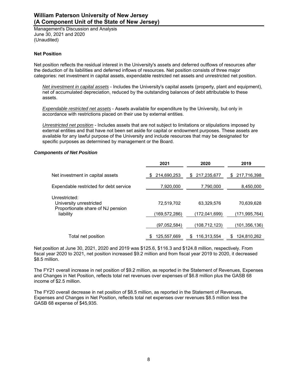Management's Discussion and Analysis June 30, 2021 and 2020 (Unaudited)

### **Net Position**

Net position reflects the residual interest in the University's assets and deferred outflows of resources after the deduction of its liabilities and deferred inflows of resources. Net position consists of three major categories: net investment in capital assets, expendable restricted net assets and unrestricted net position.

*Net investment in capital assets* - Includes the University's capital assets (property, plant and equipment), net of accumulated depreciation, reduced by the outstanding balances of debt attributable to these assets.

*Expendable restricted net assets* - Assets available for expenditure by the University, but only in accordance with restrictions placed on their use by external entities.

*Unrestricted net position* - Includes assets that are not subject to limitations or stipulations imposed by external entities and that have not been set aside for capital or endowment purposes. These assets are available for any lawful purpose of the University and include resources that may be designated for specific purposes as determined by management or the Board.

### *Components of Net Position*

|                                                                               | 2021              | 2020              | 2019               |
|-------------------------------------------------------------------------------|-------------------|-------------------|--------------------|
| Net investment in capital assets                                              | 214,690,253<br>S  | 217,235,677<br>S  | 217,716,398<br>\$. |
| Expendable restricted for debt service                                        | 7,920,000         | 7.790.000         | 8,450,000          |
| Unrestricted:<br>University unrestricted<br>Proportionate share of NJ pension | 72,519,702        | 63,329,576        | 70,639,628         |
| liability                                                                     | (169,572,286)     | (172,041,699)     | (171,995,764)      |
|                                                                               | (97, 052, 584)    | (108,712,123)     | (101, 356, 136)    |
| Total net position                                                            | 125,557,669<br>\$ | 116,313,554<br>\$ | 124,810,262        |

Net position at June 30, 2021, 2020 and 2019 was \$125.6, \$116.3 and \$124.8 million, respectively. From fiscal year 2020 to 2021, net position increased \$9.2 million and from fiscal year 2019 to 2020, it decreased \$8.5 million.

The FY21 overall increase in net position of \$9.2 million, as reported in the Statement of Revenues, Expenses and Changes in Net Position, reflects total net revenues over expenses of \$6.8 million plus the GASB 68 income of \$2.5 million.

The FY20 overall decrease in net position of \$8.5 million, as reported in the Statement of Revenues, Expenses and Changes in Net Position, reflects total net expenses over revenues \$8.5 million less the GASB 68 expense of \$45,935.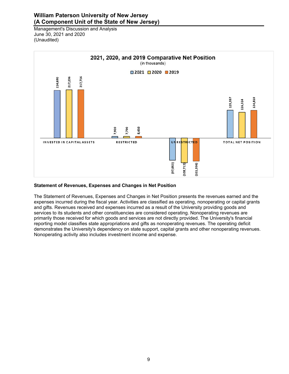Management's Discussion and Analysis June 30, 2021 and 2020 (Unaudited)



### **Statement of Revenues, Expenses and Changes in Net Position**

The Statement of Revenues, Expenses and Changes in Net Position presents the revenues earned and the expenses incurred during the fiscal year. Activities are classified as operating, nonoperating or capital grants and gifts. Revenues received and expenses incurred as a result of the University providing goods and services to its students and other constituencies are considered operating. Nonoperating revenues are primarily those received for which goods and services are not directly provided. The University's financial reporting model classifies state appropriations and gifts as nonoperating revenues. The operating deficit demonstrates the University's dependency on state support, capital grants and other nonoperating revenues. Nonoperating activity also includes investment income and expense.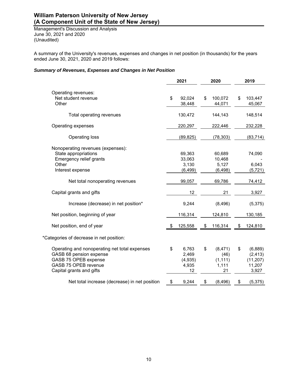Management's Discussion and Analysis June 30, 2021 and 2020 (Unaudited)

A summary of the University's revenues, expenses and changes in net position (in thousands) for the years ended June 30, 2021, 2020 and 2019 follows:

### *Summary of Revenues, Expenses and Changes in Net Position*

|                                               | 2021            | 2020           | 2019           |
|-----------------------------------------------|-----------------|----------------|----------------|
| Operating revenues:<br>Net student revenue    | \$<br>92,024    | \$<br>100,072  | \$<br>103,447  |
| Other                                         | 38,448          | 44,071         | 45,067         |
| Total operating revenues                      | 130,472         | 144,143        | 148,514        |
| Operating expenses                            | 220,297         | 222,446        | 232,228        |
| <b>Operating loss</b>                         | (89, 825)       | (78, 303)      | (83, 714)      |
| Nonoperating revenues (expenses):             |                 |                |                |
| State appropriations                          | 69,363          | 60,689         | 74,090         |
| Emergency relief grants                       | 33,063          | 10,468         |                |
| Other                                         | 3,130           | 5,127          | 6,043          |
| Interest expense                              | (6, 499)        | (6, 498)       | (5, 721)       |
| Net total nonoperating revenues               | 99,057          | 69,786         | 74,412         |
| Capital grants and gifts                      | 12              | 21             | 3,927          |
| Increase (decrease) in net position*          | 9,244           | (8, 496)       | (5, 375)       |
| Net position, beginning of year               | 116,314         | 124,810        | 130,185        |
| Net position, end of year                     | \$<br>125,558   | \$<br>116,314  | \$<br>124,810  |
| *Categories of decrease in net position:      |                 |                |                |
| Operating and nonoperating net total expenses | \$<br>6,763     | \$<br>(8, 471) | \$<br>(6,889)  |
| GASB 68 pension expense                       | 2,469           | (46)           | (2, 413)       |
| GASB 75 OPEB expense                          | (4,935)         | (1, 111)       | (11, 207)      |
| GASB 75 OPEB revenue                          | 4,935           | 1,111          | 11,207         |
| Capital grants and gifts                      | 12 <sup>°</sup> | 21             | 3,927          |
| Net total increase (decrease) in net position | \$<br>9,244     | \$<br>(8, 496) | \$<br>(5, 375) |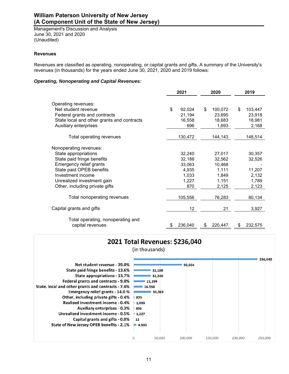Management's Discussion and Analysis June 30, 2021 and 2020 (Unaudited)

### **Revenues**

Revenues are classified as operating, nonoperating, or capital grants and gifts. A summary of the University's revenues (in thousands) for the years ended June 30, 2021, 2020 and 2019 follows:

### *Operating, Nonoperating and Capital Revenues:*

|                                                       | 2021          | 2020          | 2019          |  |
|-------------------------------------------------------|---------------|---------------|---------------|--|
| Operating revenues:                                   |               |               |               |  |
| Net student revenue                                   | \$<br>92,024  | \$<br>100,072 | \$<br>103,447 |  |
| Federal grants and contracts                          | 21,194        | 23,695        | 23,918        |  |
| State local and other grants and contracts            | 16,558        | 18,683        | 18,981        |  |
| Auxiliary enterprises                                 | 696           | 1,693         | 2,168         |  |
| Total operating revenues                              | 130,472       | 144,143       | 148,514       |  |
| Nonoperating revenues:                                |               |               |               |  |
| State appropriations                                  | 32,240        | 27,017        | 30,357        |  |
| State paid fringe benefits                            | 32,188        | 32,562        | 32,526        |  |
| Emergency relief grants                               | 33,063        | 10,468        |               |  |
| State paid OPEB benefits                              | 4,935         | 1,111         | 11,207        |  |
| Investment income                                     | 1,033         | 1,849         | 2,132         |  |
| Unrealized investment gain                            | 1,227         | 1,151         | 1,789         |  |
| Other, including private gifts                        | 870           | 2,125         | 2,123         |  |
| Total nonoperating revenues                           | 105,556       | 76,283        | 80,134        |  |
| Capital grants and gifts                              | 12            | 21            | 3,927         |  |
| Total operating, nonoperating and<br>capital revenues | \$<br>236,040 | \$<br>220,447 | \$<br>232,575 |  |
|                                                       |               |               |               |  |

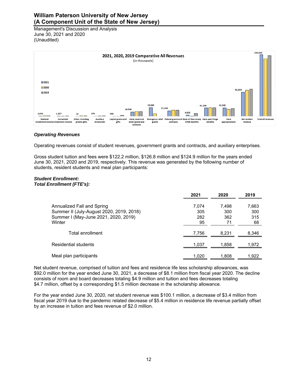Management's Discussion and Analysis June 30, 2021 and 2020 (Unaudited)



### *Operating Revenues*

Operating revenues consist of student revenues, government grants and contracts, and auxiliary enterprises.

Gross student tuition and fees were \$122.2 million, \$126.8 million and \$124.9 million for the years ended June 30, 2021, 2020 and 2019, respectively. This revenue was generated by the following number of students, resident students and meal plan participants:

## *Student Enrollment:*

*Total Enrollment (FTE's):* 

|                                          | 2021  | 2020  | 2019  |
|------------------------------------------|-------|-------|-------|
| Annualized Fall and Spring               | 7.074 | 7,498 | 7,663 |
| Summer II (July-August 2020, 2019, 2018) | 305   | 300   | 300   |
| Summer I (May-June 2021, 2020, 2019)     | 282   | 362   | 315   |
| Winter                                   | 95    | 71    | 68    |
|                                          |       |       |       |
| Total enrollment                         | 7,756 | 8,231 | 8,346 |
|                                          |       |       |       |
| <b>Residential students</b>              | 1,037 | 1,858 | 1,972 |
|                                          |       |       |       |
| Meal plan participants                   | 1,020 | 1,808 | 1,922 |
|                                          |       |       |       |

Net student revenue, comprised of tuition and fees and residence life less scholarship allowances, was \$92.0 million for the year ended June 30, 2021, a decrease of \$8.1 million from fiscal year 2020. The decline consists of room and board decreases totaling \$4.9 million and tuition and fees decreases totaling \$4.7 million, offset by a corresponding \$1.5 million decrease in the scholarship allowance.

For the year ended June 30, 2020, net student revenue was \$100.1 million, a decrease of \$3.4 million from fiscal year 2019 due to the pandemic related decrease of \$5.4 million in residence life revenue partially offset by an increase in tuition and fees revenue of \$2.0 million.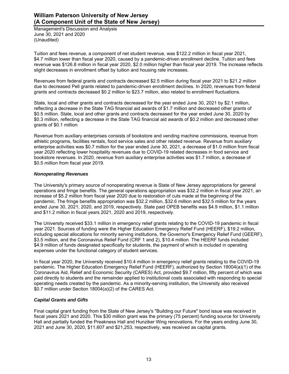Management's Discussion and Analysis June 30, 2021 and 2020 (Unaudited)

Tuition and fees revenue, a component of net student revenue, was \$122.2 million in fiscal year 2021, \$4.7 million lower than fiscal year 2020, caused by a pandemic-driven enrollment decline. Tuition and fees revenue was \$126.8 million in fiscal year 2020, \$2.0 million higher than fiscal year 2019. The increase reflects slight decreases in enrollment offset by tuition and housing rate increases.

Revenues from federal grants and contracts decreased \$2.5 million during fiscal year 2021 to \$21.2 million due to decreased Pell grants related to pandemic-driven enrollment declines. In 2020, revenues from federal grants and contracts decreased \$0.2 million to \$23.7 million, also related to enrollment fluctuations.

State, local and other grants and contracts decreased for the year ended June 30, 2021 by \$2.1 million, reflecting a decrease in the State TAG financial aid awards of \$1.7 million and decreased other grants of \$0.5 million. State, local and other grants and contracts decreased for the year ended June 30, 2020 by \$0.3 million, reflecting a decrease in the State TAG financial aid awards of \$0.2 million and decreased other grants of \$0.1 million

Revenue from auxiliary enterprises consists of bookstore and vending machine commissions, revenue from athletic programs, facilities rentals, food service sales and other related revenue. Revenue from auxiliary enterprise activities was \$0.7 million for the year ended June 30, 2021, a decrease of \$1.0 million from fiscal year 2020 reflecting lower hospitality revenues due to COVID-19 related decreases in food service and bookstore revenues. In 2020, revenue from auxiliary enterprise activities was \$1.7 million, a decrease of \$0.5 million from fiscal year 2019.

### *Nonoperating Revenues*

The University's primary source of nonoperating revenue is State of New Jersey appropriations for general operations and fringe benefits. The general operations appropriation was \$32.2 million in fiscal year 2021, an increase of \$5.2 million from fiscal year 2020 due to restoration of cuts made at the beginning of the pandemic. The fringe benefits appropriation was \$32.2 million, \$32.6 million and \$32.5 million for the years ended June 30, 2021, 2020, and 2019, respectively. State paid OPEB benefits was \$4.9 million, \$1.1 million and \$11.2 million in fiscal years 2021, 2020 and 2019, respectively.

The University received \$33.1 million in emergency relief grants relating to the COVID-19 pandemic in fiscal year 2021. Sources of funding were the Higher Education Emergency Relief Fund (HEERF), \$19.2 million, including special allocations for minority serving institutions, the Governor's Emergency Relief Fund (GEERF), \$3.5 million, and the Coronavirus Relief Fund (CRF 1 and 2), \$10.4 million. The HEERF funds included \$4.9 million of funds designated specifically for students, the payment of which is included in operating expenses under the functional category of student services.

In fiscal year 2020, the University received \$10.4 million in emergency relief grants relating to the COVID-19 pandemic. The Higher Education Emergency Relief Fund (HEERF), authorized by Section 18004(a)(1) of the Coronavirus Aid, Relief and Economic Security (CARES) Act, provided \$9.7 million, fifty percent of which was paid directly to students and the remainder applied to institutional costs associated with responding to special operating needs created by the pandemic. As a minority-serving institution, the University also received \$0.7 million under Section 18004(a)(2) of the CARES Act.

### *Capital Grants and Gifts*

Final capital grant funding from the State of New Jersey's "Building our Future" bond issue was received in fiscal years 2021 and 2020. This \$30 million grant was the primary (75 percent) funding source for University Hall and partially funded the Preakness Hall and Hunziker Wing renovations. For the years ending June 30, 2021 and June 30, 2020, \$11,607 and \$21,253, respectively, was received as capital grants.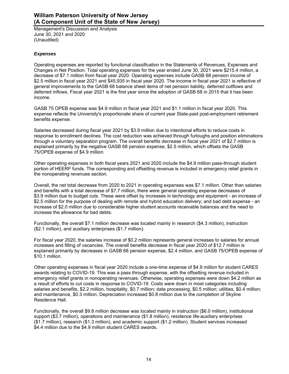Management's Discussion and Analysis June 30, 2021 and 2020 (Unaudited)

### *Expenses*

Operating expenses are reported by functional classification in the Statements of Revenues, Expenses and Changes in Net Position. Total operating expenses for the year ended June 30, 2021 were \$215.4 million, a decrease of \$7.1 million from fiscal year 2020. Operating expenses include GASB 68 pension income of \$2.5 million in fiscal year 2021 and \$45,935 in fiscal year 2020. The income in fiscal year 2021 is reflective of general improvements to the GASB 68 balance sheet items of net pension liability, deferred outflows and deferred inflows. Fiscal year 2021 is the first year since the adoption of GASB 68 in 2015 that it has been income.

GASB 75 OPEB expense was \$4.9 million in fiscal year 2021 and \$1.1 million in fiscal year 2020. This expense reflects the University's proportionate share of current year State-paid post-employment retirement benefits expense.

Salaries decreased during fiscal year 2021 by \$3.9 million due to intentional efforts to reduce costs in response to enrollment declines. The cost reduction was achieved through furloughs and position eliminations through a voluntary separation program. The overall benefits decrease in fiscal year 2021 of \$2.7 million is explained primarily by the negative GASB 68 pension expense, \$2.5 million, which offsets the GASB 75/OPEB expense of \$4.9 million.

Other operating expenses in both fiscal years 2021 and 2020 include the \$4.9 million pass-through student portion of HEERF funds. The corresponding and offsetting revenue is included in emergency relief grants in the nonoperating revenues section.

Overall, the net total decrease from 2020 to 2021 in operating expenses was \$7.1 million. Other than salaries and benefits with a total decrease of \$7.7 million, there were general operating expense decreases of \$3.9 million due to budget cuts. These were offset by increases in technology and equipment - an increase of \$2.5 million for the purpose of dealing with remote and hybrid education delivery; and bad debt expense - an increase of \$2.0 million due to considerable higher student accounts receivable balances and the need to increase the allowance for bad debts.

Functionally, the overall \$7.1 million decrease was located mainly in research (\$4.3 million), instruction (\$2.1 million), and auxiliary enterprises (\$1.7 million).

For fiscal year 2020, the salaries increase of \$0.2 million represents general increases to salaries for annual increases and filling of vacancies. The overall benefits decrease in fiscal year 2020 of \$12.7 million is explained primarily by decreases in GASB 68 pension expense, \$2.4 million, and GASB 75/OPEB expense of \$10.1 million.

Other operating expenses in fiscal year 2020 include a one-time expense of \$4.9 million for student CARES awards relating to COVID-19. This was a pass through expense, with the offsetting revenue included in emergency relief grants in nonoperating revenues. Otherwise, operating expenses were down \$4.2 million as a result of efforts to cut costs in response to COVID-19. Costs were down in most categories including salaries and benefits, \$2.2 million, hospitality, \$0.7 million; data processing, \$0.5 million; utilities, \$0.4 million; and maintenance, \$0.3 million. Depreciation increased \$0.8 million due to the completion of Skyline Residence Hall.

Functionally, the overall \$9.8 million decrease was located mainly in instruction (\$6.0 million), institutional support (\$3.7 million), operations and maintenance (\$1.8 million), residence life-auxiliary enterprises (\$1.7 million), research (\$1.3 million), and academic support (\$1.2 million). Student services increased \$4.4 million due to the \$4.9 million student CARES awards.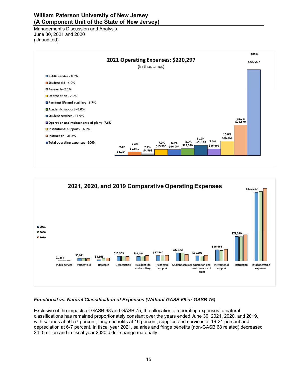Management's Discussion and Analysis June 30, 2021 and 2020 (Unaudited)





### *Functional vs. Natural Classification of Expenses (Without GASB 68 or GASB 75)*

Exclusive of the impacts of GASB 68 and GASB 75, the allocation of operating expenses to natural classifications has remained proportionately constant over the years ended June 30, 2021, 2020, and 2019, with salaries at 56-57 percent, fringe benefits at 16 percent, supplies and services at 19-21 percent and depreciation at 6-7 percent. In fiscal year 2021, salaries and fringe benefits (non-GASB 68 related) decreased \$4.0 million and in fiscal year 2020 didn't change materially.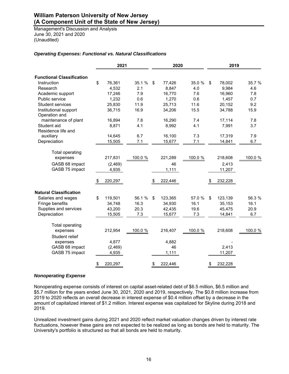Management's Discussion and Analysis June 30, 2021 and 2020 (Unaudited)

### *Operating Expenses: Functional vs. Natural Classifications*

|                                        | 2021          |         | 2020          |         | 2019          |         |
|----------------------------------------|---------------|---------|---------------|---------|---------------|---------|
| <b>Functional Classification</b>       |               |         |               |         |               |         |
| Instruction                            | \$<br>76,361  | 35.1 %  | \$<br>77,426  | 35.0 %  | \$<br>78,002  | 35.7 %  |
| Research                               | 4,532         | 2.1     | 8,847         | 4.0     | 9,984         | 4.6     |
| Academic support                       | 17,246        | 7.9     | 16,770        | 7.6     | 16,960        | 7.8     |
| Public service                         | 1,232         | 0.6     | 1,270         | 0.6     | 1,457         | 0.7     |
| Student services                       | 25,830        | 11.9    | 25,713        | 11.6    | 20,152        | 9.2     |
| Institutional support<br>Operation and | 36,715        | 16.9    | 34,206        | 15.5    | 34,788        | 15.9    |
| maintenance of plant                   | 16,894        | 7.8     | 16,290        | 7.4     | 17,114        | 7.8     |
| Student aid<br>Residence life and      | 8,871         | 4.1     | 8,992         | 4.1     | 7,991         | 3.7     |
| auxiliary                              | 14,645        | 6.7     | 16,100        | 7.3     | 17,319        | 7.9     |
| Depreciation                           | 15,505        | 7.1     | 15,677        | 7.1     | 14,841        | 6.7     |
| Total operating                        |               |         |               |         |               |         |
| expenses                               | 217,831       | 100.0 % | 221,289       | 100.0 % | 218,608       | 100.0 % |
| GASB 68 impact                         | (2,469)       |         | 46            |         | 2,413         |         |
| GASB 75 impact                         | 4,935         |         | 1,111         |         | 11,207        |         |
|                                        | \$<br>220,297 |         | \$<br>222,446 |         | 232,228       |         |
| <b>Natural Classification</b>          |               |         |               |         |               |         |
| Salaries and wages                     | \$<br>119,501 | 56.1 %  | \$<br>123,365 | 57.0 %  | \$<br>123,139 | 56.3 %  |
| Fringe benefits                        | 34,748        | 16.3    | 34,930        | 16.1    | 35,153        | 16.1    |
| Supplies and services                  | 43,200        | 20.3    | 42,435        | 19.6    | 45,475        | 20.9    |
| Depreciation                           | 15,505        | 7.3     | 15,677        | 7.3     | 14,841        | 6.7     |
| Total operating<br>expenses            | 212,954       | 100.0 % | 216,407       | 100.0 % | 218,608       | 100.0 % |
| Student relief<br>expenses             | 4,877         |         | 4,882         |         |               |         |
| GASB 68 impact                         | (2,469)       |         | 46            |         | 2,413         |         |
| GASB 75 impact                         | 4,935         |         | 1,111         |         | 11,207        |         |
|                                        | \$<br>220,297 |         | \$<br>222,446 |         | \$<br>232,228 |         |

### *Nonoperating Expense*

Nonoperating expense consists of interest on capital asset-related debt of \$6.5 million, \$6.5 million and \$5.7 million for the years ended June 30, 2021, 2020 and 2019, respectively. The \$0.8 million increase from 2019 to 2020 reflects an overall decrease in interest expense of \$0.4 million offset by a decrease in the amount of capitalized interest of \$1.2 million. Interest expense was capitalized for Skyline during 2018 and 2019.

Unrealized investment gains during 2021 and 2020 reflect market valuation changes driven by interest rate fluctuations, however these gains are not expected to be realized as long as bonds are held to maturity. The University's portfolio is structured so that all bonds are held to maturity.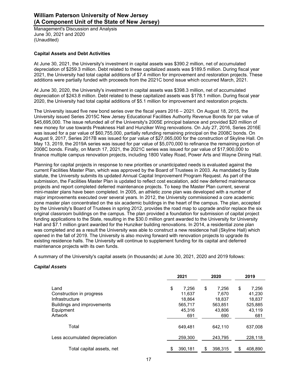Management's Discussion and Analysis June 30, 2021 and 2020 (Unaudited)

### **Capital Assets and Debt Activities**

At June 30, 2021, the University's investment in capital assets was \$390.2 million, net of accumulated depreciation of \$259.3 million. Debt related to these capitalized assets was \$189.5 million. During fiscal year 2021, the University had total capital additions of \$7.4 million for improvement and restoration projects. These additions were partially funded with proceeds from the 2021C bond issue which occurred March, 2021.

At June 30, 2020, the University's investment in capital assets was \$398.3 million, net of accumulated depreciation of \$243.8 million. Debt related to these capitalized assets was \$178.1 million. During fiscal year 2020, the University had total capital additions of \$5.1 million for improvement and restoration projects.

The University issued five new bond series over the fiscal years 2016 – 2021. On August 18, 2015, the University issued Series 2015C New Jersey Educational Facilities Authority Revenue Bonds for par value of \$45,695,000. The issue refunded all of the University's 2005E principal balance and provided \$20 million of new money for use towards Preakness Hall and Hunziker Wing renovations. On July 27, 2016, Series 2016E was issued for a par value of \$60,755,000, partially refunding remaining principal on the 2008C bonds. On August 9, 2017, Series 2017B was issued for par value of \$27,065,000 for the construction of Skyline Hall. On May 13, 2019, the 2019A series was issued for par value of \$5,070,000 to refinance the remaining portion of 2008C bonds. Finally, on March 17, 2021, the 2021C series was issued for par value of \$17,900,000 to finance multiple campus renovation projects, including 1800 Valley Road, Power Arts and Wayne Dining Hall.

Planning for capital projects in response to new priorities or unanticipated needs is evaluated against the current Facilities Master Plan, which was approved by the Board of Trustees in 2003. As mandated by State statute, the University submits its updated Annual Capital Improvement Program Request. As part of the submission, the Facilities Master Plan is updated to reflect cost escalation, add new deferred maintenance projects and report completed deferred maintenance projects. To keep the Master Plan current, several mini-master plans have been completed. In 2005, an athletic zone plan was developed with a number of major improvements executed over several years. In 2012, the University commissioned a core academic zone master plan concentrated on the six academic buildings in the heart of the campus. The plan, accepted by the University's Board of Trustees in spring 2012, provides the road map to upgrade and/or replace the six original classroom buildings on the campus. The plan provided a foundation for submission of capital project funding applications to the State, resulting in the \$30.0 million grant awarded to the University for University Hall and \$7.1 million grant awarded for the Hunziker building renovations. In 2014, a residential zone plan was completed and as a result the University was able to construct a new residence hall (Skyline Hall) which opened in the fall of 2019. The University is also moving forward with renovation projects to upgrade its existing residence halls. The University will continue to supplement funding for its capital and deferred maintenance projects with its own funds.

A summary of the University's capital assets (in thousands) at June 30, 2021, 2020 and 2019 follows:

### *Capital Assets*

|                               | 2021          | 2020        | 2019          |
|-------------------------------|---------------|-------------|---------------|
| Land                          | \$<br>7,256   | \$<br>7,256 | \$<br>7,256   |
| Construction in progress      | 11.637        | 7.670       | 41,230        |
| Infrastructure                | 18,864        | 18,837      | 18,837        |
| Buildings and improvements    | 565,717       | 563,851     | 525,885       |
| Equipment                     | 45,316        | 43,806      | 43,119        |
| Artwork                       | 691           | 690         | 681           |
| Total                         | 649.481       | 642.110     | 637.008       |
| Less accumulated depreciation | 259.300       | 243,795     | 228,118       |
| Total capital assets, net     | 390.181<br>\$ | 398.315     | \$<br>408.890 |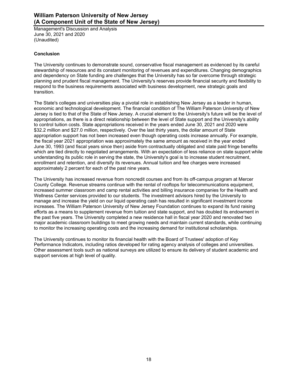Management's Discussion and Analysis June 30, 2021 and 2020 (Unaudited)

### **Conclusion**

The University continues to demonstrate sound, conservative fiscal management as evidenced by its careful stewardship of resources and its constant monitoring of revenues and expenditures. Changing demographics and dependency on State funding are challenges that the University has so far overcome through strategic planning and prudent fiscal management. The University's reserves provide financial security and flexibility to respond to the business requirements associated with business development, new strategic goals and transition.

The State's colleges and universities play a pivotal role in establishing New Jersey as a leader in human, economic and technological development. The financial condition of The William Paterson University of New Jersey is tied to that of the State of New Jersey. A crucial element to the University's future will be the level of appropriations, as there is a direct relationship between the level of State support and the University's ability to control tuition costs. State appropriations received in the years ended June 30, 2021 and 2020 were \$32.2 million and \$27.0 million, respectively. Over the last thirty years, the dollar amount of State appropriation support has not been increased even though operating costs increase annually. For example, the fiscal year 2021 appropriation was approximately the same amount as received in the year ended June 30, 1993 (and fiscal years since then) aside from contractually obligated and state paid fringe benefits which are tied directly to negotiated arrangements. With an expectation of less reliance on state support while understanding its public role in serving the state, the University's goal is to increase student recruitment, enrollment and retention, and diversify its revenues. Annual tuition and fee charges were increased approximately 2 percent for each of the past nine years.

The University has increased revenue from noncredit courses and from its off-campus program at Mercer County College. Revenue streams continue with the rental of rooftops for telecommunications equipment, increased summer classroom and camp rental activities and billing insurance companies for the Health and Wellness Center services provided to our students. The investment advisors hired by the University to manage and increase the yield on our liquid operating cash has resulted in significant investment income increases. The William Paterson University of New Jersey Foundation continues to expand its fund raising efforts as a means to supplement revenue from tuition and state support, and has doubled its endowment in the past five years. The University completed a new residence hall in fiscal year 2020 and renovated two major academic classroom buildings to meet growing needs and maintain current standards, while continuing to monitor the increasing operating costs and the increasing demand for institutional scholarships.

The University continues to monitor its financial health with the Board of Trustees' adoption of Key Performance Indicators, including ratios developed for rating agency analysis of colleges and universities. Other assessment tools such as national surveys are utilized to ensure its delivery of student academic and support services at high level of quality.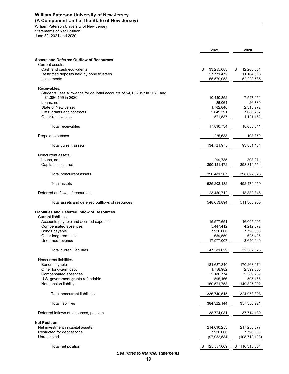Statements of Net Position June 30, 2021 and 2020 William Paterson University of New Jersey

|                                                                                           | 2021                   | 2020                   |
|-------------------------------------------------------------------------------------------|------------------------|------------------------|
| <b>Assets and Deferred Outflow of Resources</b><br>Current assets:                        |                        |                        |
| Cash and cash equivalents                                                                 | 33,255,083<br>\$       | 12,265,634<br>\$       |
| Restricted deposits held by bond trustees                                                 | 27,771,472             | 11,164,315             |
| Investments                                                                               | 55,579,053             | 52,229,585             |
| Receivables:<br>Students, less allowance for doubtful accounts of \$4,133,352 in 2021 and |                        |                        |
| \$1,386,159 in 2020                                                                       | 10,480,852             | 7,547,051              |
| Loans, net                                                                                | 26,064                 | 26,789                 |
| State of New Jersey<br>Gifts, grants and contracts                                        | 1,762,840<br>5,049,391 | 2,313,272<br>7,080,267 |
| Other receivables                                                                         | 571,587                | 1,121,162              |
|                                                                                           |                        |                        |
| Total receivables                                                                         | 17,890,734             | 18,088,541             |
| Prepaid expenses                                                                          | 225,633                | 103,359                |
| Total current assets                                                                      | 134,721,975            | 93,851,434             |
| Noncurrent assets:                                                                        |                        |                        |
| Loans, net                                                                                | 299,735                | 308,071                |
| Capital assets, net                                                                       | 390, 181, 472          | 398,314,554            |
| Total noncurrent assets                                                                   | 390,481,207            | 398,622,625            |
| <b>Total assets</b>                                                                       | 525,203,182            | 492,474,059            |
| Deferred outflows of resources                                                            | 23,450,712             | 18,889,846             |
| Total assets and deferred outflows of resources                                           | 548,653,894            | 511,363,905            |
| Liabilities and Deferred Inflow of Resources<br><b>Current liabilities:</b>               |                        |                        |
| Accounts payable and accrued expenses                                                     | 15,577,651             | 16,095,005             |
| Compensated absences                                                                      | 5,447,412              | 4,212,372              |
| Bonds payable                                                                             | 7,920,000              | 7,790,000              |
| Other long-term debt<br>Unearned revenue                                                  | 659,559                | 625,406<br>3,640,040   |
|                                                                                           | 17,977,007             |                        |
| <b>Total current liabilities</b>                                                          | 47,581,629             | 32,362,823             |
| Noncurrent liabilities:                                                                   |                        |                        |
| Bonds payable                                                                             | 181,627,840            | 170,263,971            |
| Other long-term debt                                                                      | 1,758,982              | 2,399,500              |
| Compensated absences<br>U.S. government grants refundable                                 | 2,186,774<br>595,166   | 2,389,759<br>595,166   |
| Net pension liability                                                                     | 150,571,753            | 149,325,002            |
|                                                                                           |                        |                        |
| <b>Total noncurrent liabilities</b>                                                       | 336,740,515            | 324,973,398            |
| <b>Total liabilities</b>                                                                  | 384,322,144            | 357,336,221            |
| Deferred inflows of resources, pension                                                    | 38,774,081             | 37,714,130             |
| <b>Net Position</b>                                                                       |                        |                        |
| Net investment in capital assets                                                          | 214,690,253            | 217,235,677            |
| Restricted for debt service                                                               | 7,920,000              | 7,790,000              |
| Unrestricted                                                                              | (97,052,584)           | (108, 712, 123)        |
| Total net position                                                                        | 125,557,669<br>\$      | 116,313,554<br>\$      |

*See notes to financial statements*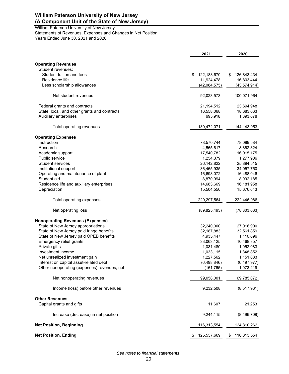William Paterson University of New Jersey

Statements of Revenues, Expenses and Changes in Net Position Years Ended June 30, 2021 and 2020

|                                              | 2021              | 2020              |
|----------------------------------------------|-------------------|-------------------|
|                                              |                   |                   |
| <b>Operating Revenues</b>                    |                   |                   |
| Student revenues:                            |                   |                   |
| Student tuition and fees                     | 122,183,670<br>\$ | 126,843,434<br>\$ |
| Residence life                               | 11,924,478        | 16,803,444        |
| Less scholarship allowances                  | (42,084,575)      | (43, 574, 914)    |
| Net student revenues                         | 92,023,573        | 100,071,964       |
| Federal grants and contracts                 | 21,194,512        | 23,694,948        |
| State, local, and other grants and contracts | 16,558,068        | 18,683,063        |
| Auxiliary enterprises                        | 695,918           | 1,693,078         |
| Total operating revenues                     | 130,472,071       | 144, 143, 053     |
| <b>Operating Expenses</b>                    |                   |                   |
| Instruction                                  | 78,570,744        | 78,099,584        |
| Research                                     | 4,565,617         | 8,862,324         |
| Academic support                             | 17,540,782        | 16,915,175        |
| Public service                               | 1,254,379         | 1,277,906         |
| Student services                             | 26,142,822        | 25,894,515        |
| Institutional support                        | 36,465,935        | 34,057,750        |
| Operating and maintenance of plant           | 16,698,072        | 16,488,046        |
| Student aid                                  | 8,870,994         | 8,992,185         |
| Residence life and auxiliary enterprises     | 14,683,669        | 16,181,958        |
| Depreciation                                 | 15,504,550        | 15,676,643        |
|                                              |                   |                   |
| Total operating expenses                     | 220,297,564       | 222,446,086       |
| Net operating loss                           | (89, 825, 493)    | (78, 303, 033)    |
| <b>Nonoperating Revenues (Expenses)</b>      |                   |                   |
| State of New Jersey appropriations           | 32,240,000        | 27,016,900        |
| State of New Jersey paid fringe benefits     | 32,187,883        | 32,561,859        |
| State of New Jersey paid OPEB benefits       | 4,935,447         | 1,110,696         |
| Emergency relief grants                      | 33,063,125        | 10,468,357        |
| Private gifts                                | 1,031,480         | 1,052,083         |
| Investment income                            | 1,033,115         | 1,848,852         |
| Net unrealized investment gain               | 1,227,562         | 1,151,083         |
| Interest on capital asset-related debt       | (6, 498, 846)     | (6, 497, 977)     |
| Other nonoperating (expenses) revenues, net  | (161, 765)        | 1,073,219         |
| Net nonoperating revenues                    | 99,058,001        | 69,785,072        |
| Income (loss) before other revenues          | 9,232,508         | (8, 517, 961)     |
| <b>Other Revenues</b>                        |                   |                   |
| Capital grants and gifts                     | 11,607            | 21,253            |
|                                              |                   |                   |
| Increase (decrease) in net position          | 9,244,115         | (8, 496, 708)     |
| <b>Net Position, Beginning</b>               | 116,313,554       | 124,810,262       |
| <b>Net Position, Ending</b>                  | 125,557,669       | 116,313,554<br>\$ |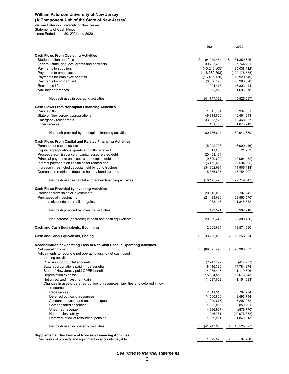#### **(A Component Unit of the State of New Jersey)**

Statements of Cash Flows Years Ended June 30, 2021 and 2020 William Paterson University of New Jersey

|                                                                                   | 2021                 | 2020                 |
|-----------------------------------------------------------------------------------|----------------------|----------------------|
|                                                                                   |                      |                      |
| <b>Cash Flows From Operating Activities</b>                                       |                      |                      |
| Student tuition and fees                                                          | \$<br>94,249,454     | \$<br>81,359,626     |
| Federal, state, and local grants and contracts                                    | 39,783,453           | 37,744,791           |
| Payments to suppliers                                                             | (45, 245, 805)       | (35,038,112)         |
| Payments to employees                                                             | (118, 382, 593)      | (122, 178, 585)      |
| Payments for employee benefits                                                    | (16, 416, 120)       | (16,929,549)         |
| Payments for student aid                                                          | (8,356,123)          | (8,980,390)          |
| Residence life                                                                    | 11,924,478           | 16,803,444           |
| Auxiliary enterprises                                                             | 695,918              | 1,693,078            |
| Net cash used in operating activities                                             | (41, 747, 338)       | (45,525,697)         |
| <b>Cash Flows From Noncapital Financing Activities</b>                            |                      |                      |
| Private gifts                                                                     | 1,015,764            | 937,851              |
| State of New Jersey appropriations                                                | 46,819,520           | 40,464,243           |
| Emergency relief grants                                                           | 33,063,125           | 10,468,357           |
| Other receipts                                                                    | (161, 765)           | 1,073,219            |
| Net cash provided by noncapital financing activities                              | 80,736,644           | 52,943,670           |
| <b>Cash Flows From Capital and Related Financing Activities</b>                   |                      |                      |
| Purchase of capital assets                                                        | (5,942,723)          | (6,900,146)          |
| Capital appropriations, grants and gifts received                                 | 11.607               | 21,253               |
| Proceeds from issuance of capital asset related debt                              | 20,408,124           |                      |
| Principal payments on asset related capital debt                                  | (9,520,620)          | (10.094, 452)        |
| Interest payments on capital asset-related debt                                   | (6,472,659)          | (6,594,095)          |
| Increase in restricted deposits held by bond trustees                             | (34, 962, 984)       | (14,906,114)         |
| Decrease in restricted deposits held by bond trustees                             | 18,355,827           | 15,754,207           |
| Net cash used in capital and related financing activities                         | (18, 123, 428)       | (22,719,347)         |
|                                                                                   |                      |                      |
| <b>Cash Flows Provided by Investing Activities</b>                                |                      |                      |
| Proceeds from sales of investments                                                | 20,515,092           | 36,707,642           |
| Purchases of investments                                                          | (21, 424, 636)       | (29, 563, 576)       |
| Interest, dividends and realized gains                                            | 1,033,115            | 1,848,852            |
| Net cash provided by investing activities                                         | 123,571              | 8,992,918            |
| Net increase (decrease) in cash and cash equivalents                              | 20,989,449           | (6,308,456)          |
| <b>Cash and Cash Equivalents, Beginning</b>                                       | 12,265,634           | 18,574,090           |
| <b>Cash and Cash Equivalents, Ending</b>                                          | \$<br>33,255,083     | \$<br>12,265,634     |
| Reconciliation of Operating Loss to Net Cash Used in Operating Activities         |                      |                      |
| Net operating loss                                                                | \$<br>(89, 825, 493) | (78, 303, 033)<br>\$ |
| Adjustments to reconcile net operating loss to net cash used in                   |                      |                      |
| operating activities:                                                             |                      |                      |
| Provision for doubtful accounts                                                   | (2,747,192)          | (414, 777)           |
| State appropriations paid fringe benefits                                         | 18,116,386           | 17,784,974           |
| State of New Jersey paid OPEB benefits                                            | 4,935,447            | 1,110,696            |
| Depreciation expense                                                              | 15,504,550           | 15,676,643           |
| Net unrealized investment gain                                                    | (1,227,562)          | (1, 151, 083)        |
| Changes in assets, deferred outflow of resources, liabilities and deferred inflow |                      |                      |
| of resources:                                                                     |                      |                      |
| Receivables                                                                       | 2,311,545            | (5,767,774)          |
| Deferred outflow of resources                                                     | (4,560,866)          | 8,496,744            |
| Accounts payable and accrued expenses                                             | (1,929,877)          | 5,297,952            |
| Compensated absences                                                              | 1,032,055            | 859,291              |
| Unearned revenue                                                                  | 14,336,967           | (879, 770)           |
| Net pension liability                                                             | 1,246,751            | (10,076,373)         |
| Deferred inflow of resources, pension                                             | 1,059,951            | 1,840,813            |
|                                                                                   |                      |                      |
| Net cash used in operating activities                                             | (41, 747, 338)       | \$<br>(45,525,697)   |
| Supplemental Disclosure of Noncash Financing Activities                           |                      |                      |
| Purchases of property and equipment in accounts payable                           | \$<br>1,522,995      | 94,250<br>\$         |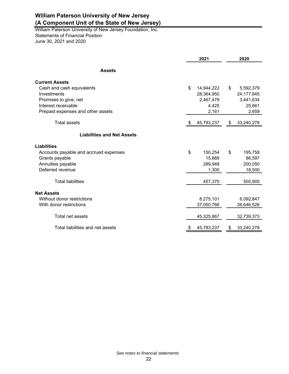June 30, 2021 and 2020 William Paterson University of New Jersey Foundation, Inc. Statements of Financial Position

|                                       | 2021 |            |    | 2020         |  |
|---------------------------------------|------|------------|----|--------------|--|
| <b>Assets</b>                         |      |            |    |              |  |
| <b>Current Assets</b>                 |      |            |    |              |  |
| Cash and cash equivalents             | \$   | 14,944,222 | \$ | 5,592,379    |  |
| Investments                           |      | 28,364,950 |    | 24, 177, 945 |  |
| Promises to give, net                 |      | 2,467,479  |    | 3,441,634    |  |
| Interest receivable                   |      | 4,425      |    | 25,661       |  |
| Prepaid expenses and other assets     |      | 2,161      |    | 2,659        |  |
| Total assets                          | Ъ    | 45,783,237 | \$ | 33,240,278   |  |
| <b>Liabilities and Net Assets</b>     |      |            |    |              |  |
| <b>Liabilities</b>                    |      |            |    |              |  |
| Accounts payable and accrued expenses | \$   | 150,254    | \$ | 195,758      |  |
| Grants payable                        |      | 15,868     |    | 86,597       |  |
| Annuities payable                     |      | 289,948    |    | 200,050      |  |
| Deferred revenue                      |      | 1,300      |    | 18,500       |  |
| <b>Total liabilities</b>              |      | 457,370    |    | 500,905      |  |
| <b>Net Assets</b>                     |      |            |    |              |  |
| Without donor restrictions            |      | 8,275,101  |    | 6,092,847    |  |
| With donor restrictions               |      | 37,050,766 |    | 26,646,526   |  |
|                                       |      |            |    |              |  |
| Total net assets                      |      | 45,325,867 |    | 32,739,373   |  |
| Total liabilities and net assets      |      | 45,783,237 | £. | 33,240,278   |  |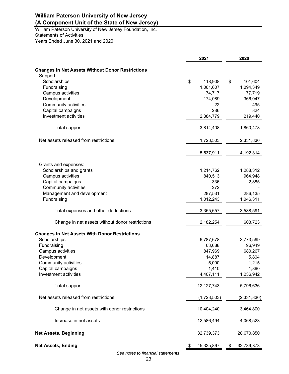Years Ended June 30, 2021 and 2020 William Paterson University of New Jersey Foundation, Inc. Statements of Activities

|                                                         | 2021             | 2020             |  |
|---------------------------------------------------------|------------------|------------------|--|
| <b>Changes in Net Assets Without Donor Restrictions</b> |                  |                  |  |
| Support:                                                |                  |                  |  |
| Scholarships                                            | \$<br>118,908    | \$<br>101,604    |  |
| Fundraising                                             | 1,061,607        | 1,094,349        |  |
| Campus activities                                       | 74,717           | 77,719           |  |
| Development                                             | 174,089          | 366,047          |  |
| Community activities                                    | 22               | 495              |  |
| Capital campaigns                                       | 286              | 824              |  |
| Investment activities                                   | 2,384,779        | 219,440          |  |
| Total support                                           | 3,814,408        | 1,860,478        |  |
| Net assets released from restrictions                   | 1,723,503        | 2,331,836        |  |
|                                                         | 5,537,911        | 4,192,314        |  |
| Grants and expenses:                                    |                  |                  |  |
| Scholarships and grants                                 | 1,214,762        | 1,288,312        |  |
| Campus activities                                       | 840,513          | 964,948          |  |
| Capital campaigns                                       | 336              | 2,885            |  |
| Community activities                                    | 272              |                  |  |
| Management and development                              | 287,531          | 286,135          |  |
| Fundraising                                             | 1,012,243        | 1,046,311        |  |
| Total expenses and other deductions                     | 3,355,657        | 3,588,591        |  |
| Change in net assets without donor restrictions         | 2,182,254        | 603,723          |  |
| <b>Changes in Net Assets With Donor Restrictions</b>    |                  |                  |  |
| Scholarships                                            | 6,787,678        | 3,773,599        |  |
| Fundraising                                             | 63,688           | 96,949           |  |
| Campus activities                                       | 847,969          | 680,267          |  |
| Development                                             | 14,887           | 5,804            |  |
| Community activities                                    | 5,000            | 1,215            |  |
| Capital campaigns                                       | 1,410            | 1,860            |  |
| Investment activities                                   | 4,407,111        | 1,236,942        |  |
| Total support                                           | 12, 127, 743     | 5,796,636        |  |
| Net assets released from restrictions                   | (1,723,503)      | (2,331,836)      |  |
| Change in net assets with donor restrictions            | 10,404,240       | 3,464,800        |  |
| Increase in net assets                                  | 12,586,494       | 4,068,523        |  |
| <b>Net Assets, Beginning</b>                            | 32,739,373       | 28,670,850       |  |
| <b>Net Assets, Ending</b>                               | 45,325,867<br>\$ | 32,739,373<br>\$ |  |

*See notes to financial statements*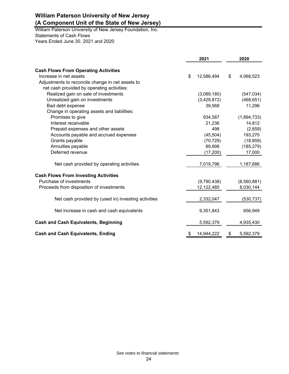William Paterson University of New Jersey Foundation, Inc. Years Ended June 30, 2021 and 2020 Statements of Cash Flows

|                                                     | 2021 |             | 2020            |  |
|-----------------------------------------------------|------|-------------|-----------------|--|
|                                                     |      |             |                 |  |
| <b>Cash Flows From Operating Activities</b>         |      |             |                 |  |
| Increase in net assets                              | \$   | 12,586,494  | \$<br>4,068,523 |  |
| Adjustments to reconcile change in net assets to    |      |             |                 |  |
| net cash provided by operating activities:          |      |             |                 |  |
| Realized gain on sale of investments                |      | (3,089,180) | (547, 034)      |  |
| Unrealized gain on investments                      |      | (3,429,872) | (468, 651)      |  |
| Bad debt expense                                    |      | 39,568      | 11,296          |  |
| Change in operating assets and liabilities:         |      |             |                 |  |
| Promises to give                                    |      | 934,587     | (1,894,733)     |  |
| Interest receivable                                 |      | 21,236      | 14,812          |  |
| Prepaid expenses and other assets                   |      | 498         | (2,659)         |  |
| Accounts payable and accrued expenses               |      | (45, 504)   | 193,270         |  |
| Grants payable                                      |      | (70, 729)   | (18, 859)       |  |
| Annuities payable                                   |      | 89,898      | (185, 279)      |  |
| Deferred revenue                                    |      | (17, 200)   | 17,000          |  |
| Net cash provided by operating activities           |      | 7,019,796   | 1,187,686       |  |
| <b>Cash Flows From Investing Activities</b>         |      |             |                 |  |
| Purchase of investments                             |      | (9,790,438) | (8,560,881)     |  |
| Proceeds from disposition of investments            |      |             | 8,030,144       |  |
|                                                     |      | 12,122,485  |                 |  |
| Net cash provided by (used in) investing activities |      | 2,332,047   | (530, 737)      |  |
| Net increase in cash and cash equivalents           |      | 9,351,843   | 656,949         |  |
| <b>Cash and Cash Equivalents, Beginning</b>         |      | 5,592,379   | 4,935,430       |  |
| <b>Cash and Cash Equivalents, Ending</b>            | \$   | 14,944,222  | \$<br>5,592,379 |  |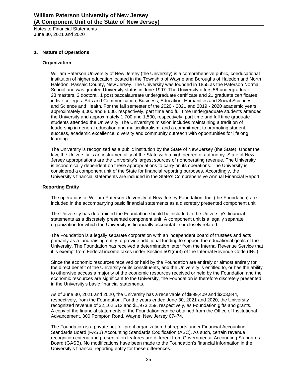Notes to Financial Statements June 30, 2021 and 2020

### **1. Nature of Operations**

#### **Organization**

William Paterson University of New Jersey (the University) is a comprehensive public, coeducational institution of higher education located in the Township of Wayne and Boroughs of Haledon and North Haledon, Passaic County, New Jersey. The University was founded in 1855 as the Paterson Normal School and was granted University status in June 1997. The University offers 56 undergraduate, 28 masters, 2 doctoral, 1 post baccalaureate undergraduate certificate and 21 graduate certificates in five colleges: Arts and Communication; Business; Education; Humanities and Social Sciences; and Science and Health. For the fall semester of the 2020 - 2021 and 2019 - 2020 academic years, approximately 8,000 and 8,600, respectively, part time and full time undergraduate students attended the University and approximately 1,700 and 1,500, respectively, part time and full time graduate students attended the University. The University's mission includes maintaining a tradition of leadership in general education and multiculturalism, and a commitment to promoting student success, academic excellence, diversity and community outreach with opportunities for lifelong learning.

The University is recognized as a public institution by the State of New Jersey (the State). Under the law, the University is an instrumentality of the State with a high degree of autonomy. State of New Jersey appropriations are the University's largest sources of nonoperating revenue. The University is economically dependent on these appropriations to carry on its operations. The University is considered a component unit of the State for financial reporting purposes. Accordingly, the University's financial statements are included in the State's Comprehensive Annual Financial Report.

### **Reporting Entity**

The operations of William Paterson University of New Jersey Foundation, Inc. (the Foundation) are included in the accompanying basic financial statements as a discretely presented component unit.

The University has determined the Foundation should be included in the University's financial statements as a discretely presented component unit. A component unit is a legally separate organization for which the University is financially accountable or closely related.

The Foundation is a legally separate corporation with an independent board of trustees and acts primarily as a fund raising entity to provide additional funding to support the educational goals of the University. The Foundation has received a determination letter from the Internal Revenue Service that it is exempt from Federal income taxes under Section 501(c)(3) of the Internal Revenue Code (IRC).

Since the economic resources received or held by the Foundation are entirely or almost entirely for the direct benefit of the University or its constituents, and the University is entitled to, or has the ability to otherwise access a majority of the economic resources received or held by the Foundation and the economic resources are significant to the University, the Foundation is therefore discretely presented in the University's basic financial statements.

As of June 30, 2021 and 2020, the University has a receivable of \$899,409 and \$203,844, respectively, from the Foundation. For the years ended June 30, 2021 and 2020, the University recognized revenue of \$2,162,512 and \$1,973,259, respectively, as Foundation gifts and grants. A copy of the financial statements of the Foundation can be obtained from the Office of Institutional Advancement, 300 Pompton Road, Wayne, New Jersey 07474.

The Foundation is a private not-for-profit organization that reports under Financial Accounting Standards Board (FASB) Accounting Standards Codification (ASC). As such, certain revenue recognition criteria and presentation features are different from Governmental Accounting Standards Board (GASB). No modifications have been made to the Foundation's financial information in the University's financial reporting entity for these differences.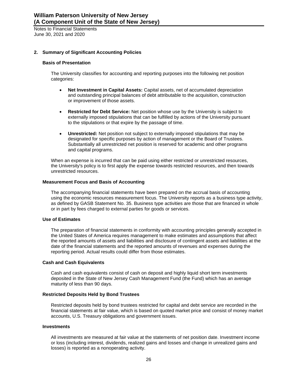Notes to Financial Statements June 30, 2021 and 2020

### **2. Summary of Significant Accounting Policies**

#### **Basis of Presentation**

The University classifies for accounting and reporting purposes into the following net position categories:

- **Net Investment in Capital Assets:** Capital assets, net of accumulated depreciation and outstanding principal balances of debt attributable to the acquisition, construction or improvement of those assets.
- **Restricted for Debt Service:** Net position whose use by the University is subject to externally imposed stipulations that can be fulfilled by actions of the University pursuant to the stipulations or that expire by the passage of time.
- **Unrestricted:** Net position not subject to externally imposed stipulations that may be designated for specific purposes by action of management or the Board of Trustees. Substantially all unrestricted net position is reserved for academic and other programs and capital programs.

When an expense is incurred that can be paid using either restricted or unrestricted resources, the University's policy is to first apply the expense towards restricted resources, and then towards unrestricted resources.

#### **Measurement Focus and Basis of Accounting**

The accompanying financial statements have been prepared on the accrual basis of accounting using the economic resources measurement focus. The University reports as a business type activity, as defined by GASB Statement No. 35. Business type activities are those that are financed in whole or in part by fees charged to external parties for goods or services.

### **Use of Estimates**

The preparation of financial statements in conformity with accounting principles generally accepted in the United States of America requires management to make estimates and assumptions that affect the reported amounts of assets and liabilities and disclosure of contingent assets and liabilities at the date of the financial statements and the reported amounts of revenues and expenses during the reporting period. Actual results could differ from those estimates.

### **Cash and Cash Equivalents**

Cash and cash equivalents consist of cash on deposit and highly liquid short term investments deposited in the State of New Jersey Cash Management Fund (the Fund) which has an average maturity of less than 90 days.

### **Restricted Deposits Held by Bond Trustees**

Restricted deposits held by bond trustees restricted for capital and debt service are recorded in the financial statements at fair value, which is based on quoted market price and consist of money market accounts, U.S. Treasury obligations and government issues.

#### **Investments**

All investments are measured at fair value at the statements of net position date. Investment income or loss (including interest, dividends, realized gains and losses and change in unrealized gains and losses) is reported as a nonoperating activity.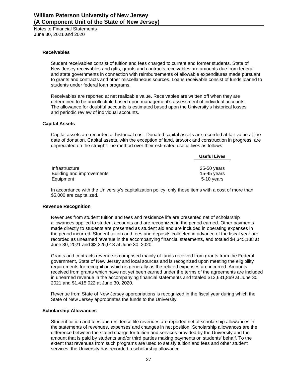### **Receivables**

Student receivables consist of tuition and fees charged to current and former students. State of New Jersey receivables and gifts, grants and contracts receivables are amounts due from federal and state governments in connection with reimbursements of allowable expenditures made pursuant to grants and contracts and other miscellaneous sources. Loans receivable consist of funds loaned to students under federal loan programs.

Receivables are reported at net realizable value. Receivables are written off when they are determined to be uncollectible based upon management's assessment of individual accounts. The allowance for doubtful accounts is estimated based upon the University's historical losses and periodic review of individual accounts.

### **Capital Assets**

Capital assets are recorded at historical cost. Donated capital assets are recorded at fair value at the date of donation. Capital assets, with the exception of land, artwork and construction in progress, are depreciated on the straight-line method over their estimated useful lives as follows:

| <b>Useful Lives</b> |
|---------------------|
|                     |
| 25-50 years         |
| 15-45 years         |
| 5-10 years          |
|                     |

In accordance with the University's capitalization policy, only those items with a cost of more than \$5,000 are capitalized.

### **Revenue Recognition**

Revenues from student tuition and fees and residence life are presented net of scholarship allowances applied to student accounts and are recognized in the period earned. Other payments made directly to students are presented as student aid and are included in operating expenses in the period incurred. Student tuition and fees and deposits collected in advance of the fiscal year are recorded as unearned revenue in the accompanying financial statements, and totaled \$4,345,138 at June 30, 2021 and \$2,225,018 at June 30, 2020.

Grants and contracts revenue is comprised mainly of funds received from grants from the Federal government, State of New Jersey and local sources and is recognized upon meeting the eligibility requirements for recognition which is generally as the related expenses are incurred. Amounts received from grants which have not yet been earned under the terms of the agreements are included in unearned revenue in the accompanying financial statements and totaled \$13,631,869 at June 30, 2021 and \$1,415,022 at June 30, 2020.

Revenue from State of New Jersey appropriations is recognized in the fiscal year during which the State of New Jersey appropriates the funds to the University.

### **Scholarship Allowances**

Student tuition and fees and residence life revenues are reported net of scholarship allowances in the statements of revenues, expenses and changes in net position. Scholarship allowances are the difference between the stated charge for tuition and services provided by the University and the amount that is paid by students and/or third parties making payments on students' behalf. To the extent that revenues from such programs are used to satisfy tuition and fees and other student services, the University has recorded a scholarship allowance.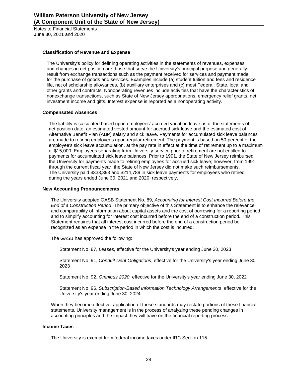Notes to Financial Statements June 30, 2021 and 2020

### **Classification of Revenue and Expense**

The University's policy for defining operating activities in the statements of revenues, expenses and changes in net position are those that serve the University's principal purpose and generally result from exchange transactions such as the payment received for services and payment made for the purchase of goods and services. Examples include (a) student tuition and fees and residence life, net of scholarship allowances, (b) auxiliary enterprises and (c) most Federal, State, local and other grants and contracts. Nonoperating revenues include activities that have the characteristics of nonexchange transactions, such as State of New Jersey appropriations, emergency relief grants, net investment income and gifts. Interest expense is reported as a nonoperating activity.

### **Compensated Absences**

The liability is calculated based upon employees' accrued vacation leave as of the statements of net position date, an estimated vested amount for accrued sick leave and the estimated cost of Alternative Benefit Plan (ABP) salary and sick leave. Payments for accumulated sick leave balances are made to retiring employees upon regular retirement. The payment is based on 50 percent of the employee's sick leave accumulation, at the pay rate in effect at the time of retirement up to a maximum of \$15,000. Employees separating from University service prior to retirement are not entitled to payments for accumulated sick leave balances. Prior to 1991, the State of New Jersey reimbursed the University for payments made to retiring employees for accrued sick leave; however, from 1991 through the current fiscal year, the State of New Jersey did not make such reimbursements. The University paid \$338,393 and \$214,789 in sick leave payments for employees who retired during the years ended June 30, 2021 and 2020, respectively.

### **New Accounting Pronouncements**

The University adopted GASB Statement No. 89, *Accounting for Interest Cost Incurred Before the End of a Construction Period*. The primary objective of this Statement is to enhance the relevance and comparability of information about capital assets and the cost of borrowing for a reporting period and to simplify accounting for interest cost incurred before the end of a construction period. This Statement requires that all interest cost incurred before the end of a construction period be recognized as an expense in the period in which the cost is incurred.

The GASB has approved the following:

Statement No. 87, *Leases*, effective for the University's year ending June 30, 2023

Statement No. 91, *Conduit Debt Obligations*, effective for the University's year ending June 30, 2023

Statement No. 92, *Omnibus 2020*, effective for the University's year ending June 30, 2022

Statement No. 96, *Subscription-Based Information Technology Arrangements*, effective for the University's year ending June 30, 2024

When they become effective, application of these standards may restate portions of these financial statements. University management is in the process of analyzing these pending changes in accounting principles and the impact they will have on the financial reporting process.

### **Income Taxes**

The University is exempt from federal income taxes under IRC Section 115.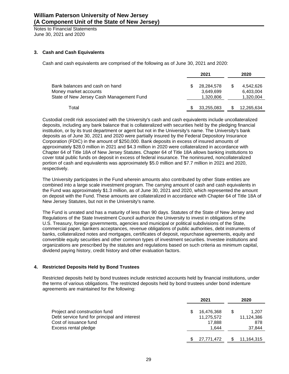### **3. Cash and Cash Equivalents**

Cash and cash equivalents are comprised of the following as of June 30, 2021 and 2020:

|                                          | 2021 |            | 2020 |            |
|------------------------------------------|------|------------|------|------------|
| Bank balances and cash on hand           |      | 28.284.578 |      | 4.542.626  |
| Money market accounts                    |      | 3.649.699  |      | 6,403,004  |
| State of New Jersey Cash Management Fund |      | 1,320,806  |      | 1,320,004  |
| Total                                    |      | 33,255,083 |      | 12,265,634 |

Custodial credit risk associated with the University's cash and cash equivalents include uncollateralized deposits, including any bank balance that is collateralized with securities held by the pledging financial institution, or by its trust department or agent but not in the University's name. The University's bank deposits as of June 30, 2021 and 2020 were partially insured by the Federal Depository Insurance Corporation (FDIC) in the amount of \$250,000. Bank deposits in excess of insured amounts of approximately \$28.0 million in 2021 and \$4.3 million in 2020 were collateralized in accordance with Chapter 64 of Title 18A of New Jersey Statutes. Chapter 64 of Title 18A allows banking institutions to cover total public funds on deposit in excess of federal insurance. The noninsured, noncollateralized portion of cash and equivalents was approximately \$5.0 million and \$7.7 million in 2021 and 2020, respectively.

The University participates in the Fund wherein amounts also contributed by other State entities are combined into a large scale investment program. The carrying amount of cash and cash equivalents in the Fund was approximately \$1.3 million, as of June 30, 2021 and 2020, which represented the amount on deposit with the Fund. These amounts are collateralized in accordance with Chapter 64 of Title 18A of New Jersey Statutes, but not in the University's name.

The Fund is unrated and has a maturity of less than 90 days. Statutes of the State of New Jersey and Regulations of the State Investment Council authorize the University to invest in obligations of the U.S. Treasury, foreign governments, agencies and municipal or political subdivisions of the State, commercial paper, bankers acceptances, revenue obligations of public authorities, debt instruments of banks, collateralized notes and mortgages, certificates of deposit, repurchase agreements, equity and convertible equity securities and other common types of investment securities. Investee institutions and organizations are prescribed by the statutes and regulations based on such criteria as minimum capital, dividend paying history, credit history and other evaluation factors.

### **4. Restricted Deposits Held by Bond Trustees**

Restricted deposits held by bond trustees include restricted accounts held by financial institutions, under the terms of various obligations. The restricted deposits held by bond trustees under bond indenture agreements are maintained for the following:

|                                              | 2021 |            |   | 2020       |  |  |
|----------------------------------------------|------|------------|---|------------|--|--|
| Project and construction fund                |      | 16.476.368 | S | 1.207      |  |  |
| Debt service fund for principal and interest |      | 11,275,572 |   | 11,124,386 |  |  |
| Cost of issuance fund                        |      | 17.888     |   | 878        |  |  |
| Excess rental pledge                         |      | 1.644      |   | 37,844     |  |  |
|                                              |      | 27,771,472 |   | 11,164,315 |  |  |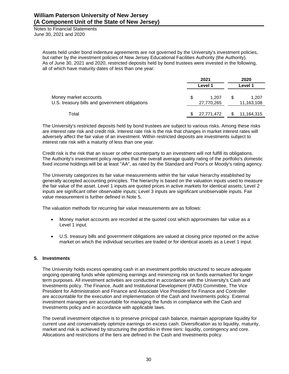> Assets held under bond indenture agreements are not governed by the University's investment policies, but rather by the investment policies of New Jersey Educational Facilities Authority (the Authority). As of June 30, 2021 and 2020, restricted deposits held by bond trustees were invested in the following, all of which have maturity dates of less than one year:

|                                                                         | 2021    |                     | 2020 |                     |  |  |
|-------------------------------------------------------------------------|---------|---------------------|------|---------------------|--|--|
|                                                                         | Level 1 |                     |      | Level 1             |  |  |
| Money market accounts<br>U.S. treasury bills and government obligations |         | 1.207<br>27,770,265 |      | 1.207<br>11,163,108 |  |  |
| Total                                                                   |         | 27,771,472          |      | 11,164,315          |  |  |

The University's restricted deposits held by bond trustees are subject to various risks. Among these risks are interest rate risk and credit risk. Interest rate risk is the risk that changes in market interest rates will adversely affect the fair value of an investment. Within restricted deposits are investments subject to interest rate risk with a maturity of less than one year.

Credit risk is the risk that an issuer or other counterparty to an investment will not fulfill its obligations. The Authority's investment policy requires that the overall average quality rating of the portfolio's domestic fixed income holdings will be at least "AA", as rated by the Standard and Poor's or Moody's rating agency.

The University categorizes its fair value measurements within the fair value hierarchy established by generally accepted accounting principles. The hierarchy is based on the valuation inputs used to measure the fair value of the asset. Level 1 inputs are quoted prices in active markets for identical assets; Level 2 inputs are significant other observable inputs; Level 3 inputs are significant unobservable inputs. Fair value measurement is further defined in Note 5.

The valuation methods for recurring fair value measurements are as follows:

- Money market accounts are recorded at the quoted cost which approximates fair value as a Level 1 input.
- U.S. treasury bills and government obligations are valued at closing price reported on the active market on which the individual securities are traded or for identical assets as a Level 1 input.

### **5. Investments**

The University holds excess operating cash in an investment portfolio structured to secure adequate ongoing operating funds while optimizing earnings and minimizing risk on funds earmarked for longer term purposes. All investment activities are conducted in accordance with the University's Cash and Investments policy. The Finance, Audit and Institutional Development (FAID) Committee, The Vice President for Administration and Finance and Associate Vice President for Finance and Controller are accountable for the execution and implementation of the Cash and Investments policy. External investment managers are accountable for managing the funds in compliance with the Cash and Investments policy and in accordance with applicable laws.

The overall investment objective is to preserve principal cash balance, maintain appropriate liquidity for current use and conservatively optimize earnings on excess cash. Diversification as to liquidity, maturity, market and risk is achieved by structuring the portfolio in three tiers: liquidity, contingency and core. Allocations and restrictions of the tiers are defined in the Cash and Investments policy.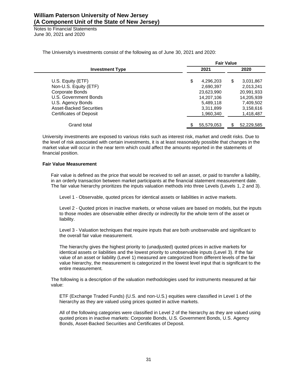Notes to Financial Statements June 30, 2021 and 2020

|                                | <b>Fair Value</b> |            |    |            |  |  |
|--------------------------------|-------------------|------------|----|------------|--|--|
| <b>Investment Type</b>         |                   | 2021       |    | 2020       |  |  |
| U.S. Equity (ETF)              | \$                | 4,296,203  | \$ | 3,031,867  |  |  |
| Non-U.S. Equity (ETF)          |                   | 2,690,397  |    | 2,013,241  |  |  |
| Corporate Bonds                |                   | 23,623,990 |    | 20,991,933 |  |  |
| U.S. Government Bonds          |                   | 14.207.106 |    | 14.205.939 |  |  |
| U.S. Agency Bonds              |                   | 5,489,118  |    | 7,409,502  |  |  |
| <b>Asset-Backed Securities</b> |                   | 3,311,899  |    | 3,158,616  |  |  |
| Certificates of Deposit        |                   | 1,960,340  |    | 1,418,487  |  |  |
| Grand total                    |                   | 55,579,053 | \$ | 52,229,585 |  |  |

The University's investments consist of the following as of June 30, 2021 and 2020:

University investments are exposed to various risks such as interest risk, market and credit risks. Due to the level of risk associated with certain investments, it is at least reasonably possible that changes in the market value will occur in the near term which could affect the amounts reported in the statements of financial position.

### **Fair Value Measurement**

Fair value is defined as the price that would be received to sell an asset, or paid to transfer a liability, in an orderly transaction between market participants at the financial statement measurement date. The fair value hierarchy prioritizes the inputs valuation methods into three Levels (Levels 1, 2 and 3).

Level 1 - Observable, quoted prices for identical assets or liabilities in active markets.

Level 2 - Quoted prices in inactive markets, or whose values are based on models, but the inputs to those modes are observable either directly or indirectly for the whole term of the asset or liability.

Level 3 - Valuation techniques that require inputs that are both unobservable and significant to the overall fair value measurement.

The hierarchy gives the highest priority to (unadjusted) quoted prices in active markets for identical assets or liabilities and the lowest priority to unobservable inputs (Level 3). If the fair value of an asset or liability (Level 1) measured are categorized from different levels of the fair value hierarchy, the measurement is categorized in the lowest level input that is significant to the entire measurement.

The following is a description of the valuation methodologies used for instruments measured at fair value:

ETF (Exchange Traded Funds) (U.S. and non-U.S.) equities were classified in Level 1 of the hierarchy as they are valued using prices quoted in active markets.

All of the following categories were classified in Level 2 of the hierarchy as they are valued using quoted prices in inactive markets: Corporate Bonds, U.S. Government Bonds, U.S. Agency Bonds, Asset-Backed Securities and Certificates of Deposit.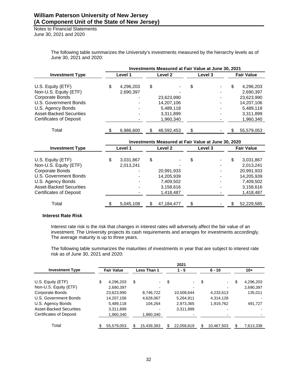Notes to Financial Statements June 30, 2021 and 2020

> The following table summarizes the University's investments measured by the hierarchy levels as of June 30, 2021 and 2020:

|                                | Investments Measured at Fair Value at June 30, 2021 |           |    |                                                     |         |  |                   |            |
|--------------------------------|-----------------------------------------------------|-----------|----|-----------------------------------------------------|---------|--|-------------------|------------|
| <b>Investment Type</b>         |                                                     | Level 1   |    | Level 2                                             | Level 3 |  | <b>Fair Value</b> |            |
| U.S. Equity (ETF)              | \$                                                  | 4,296,203 | \$ |                                                     | \$      |  | \$                | 4,296,203  |
| Non-U.S. Equity (ETF)          |                                                     | 2,690,397 |    |                                                     |         |  |                   | 2,690,397  |
| Corporate Bonds                |                                                     |           |    | 23,623,990                                          |         |  |                   | 23,623,990 |
| <b>U.S. Government Bonds</b>   |                                                     |           |    | 14,207,106                                          |         |  |                   | 14,207,106 |
| U.S. Agency Bonds              |                                                     |           |    | 5,489,118                                           |         |  |                   | 5,489,118  |
| <b>Asset-Backed Securities</b> |                                                     |           |    | 3,311,899                                           |         |  |                   | 3,311,899  |
| <b>Certificates of Deposit</b> |                                                     |           |    | 1,960,340                                           |         |  |                   | 1,960,340  |
| Total                          |                                                     | 6,986,600 |    | 48,592,453                                          | S       |  |                   | 55,579,053 |
|                                |                                                     |           |    | Investments Measured at Fair Value at June 30, 2020 |         |  |                   |            |
| <b>Investment Type</b>         |                                                     | Level 1   |    | Level 2                                             | Level 3 |  | <b>Fair Value</b> |            |
| U.S. Equity (ETF)              | \$                                                  | 3,031,867 | \$ |                                                     | \$      |  | \$                | 3,031,867  |
| Non-U.S. Equity (ETF)          |                                                     | 2,013,241 |    |                                                     |         |  |                   | 2,013,241  |
| <b>Corporate Bonds</b>         |                                                     |           |    | 20.991.933                                          |         |  |                   | 20,991,933 |

| Total                          | 5.045.108                | 47.184.477 | $\overline{\phantom{a}}$ | 52.229.585 |
|--------------------------------|--------------------------|------------|--------------------------|------------|
| Certificates of Deposit        |                          | 1.418.487  | $\blacksquare$           | 1,418,487  |
| <b>Asset-Backed Securities</b> | $\overline{\phantom{0}}$ | 3,158,616  | $\overline{\phantom{0}}$ | 3,158,616  |
| U.S. Agency Bonds              |                          | 7,409,502  |                          | 7,409,502  |
| U.S. Government Bonds          | $\overline{\phantom{a}}$ | 14,205,939 | $\blacksquare$           | 14,205,939 |
| Corporate Bonus                | $\sim$                   | 20,991,933 | $\qquad \qquad$          | 20,991,933 |

### **Interest Rate Risk**

Interest rate risk is the risk that changes in interest rates will adversely affect the fair value of an investment. The University projects its cash requirements and arranges for investments accordingly. The average maturity is up to three years.

The following table summarizes the maturities of investments in year that are subject to interest rate risk as of June 30, 2021 and 2020:

|                                |                   |              | 2021         |              |                 |  |
|--------------------------------|-------------------|--------------|--------------|--------------|-----------------|--|
| <b>Investment Type</b>         | <b>Fair Value</b> | Less Than 1  | $1 - 5$      | $6 - 10$     | $10+$           |  |
| U.S. Equity (ETF)              | \$<br>4,296,203   | \$<br>$\sim$ | \$<br>$\sim$ | \$<br>$\sim$ | \$<br>4,296,203 |  |
| Non-U.S. Equity (ETF)          | 2,690,397         |              |              |              | 2,690,397       |  |
| Corporate Bonds                | 23,623,990        | 8,746,722    | 10,508,644   | 4,233,613    | 135,011         |  |
| U.S. Government Bonds          | 14,207,106        | 4,628,067    | 5,264,911    | 4,314,128    |                 |  |
| U.S. Agency Bonds              | 5,489,118         | 104.264      | 2,973,365    | 1,919,762    | 491,727         |  |
| <b>Asset-Backed Securities</b> | 3,311,899         |              | 3,311,899    |              |                 |  |
| Certificates of Deposit        | 1,960,340         | 1,960,340    |              |              |                 |  |
| Total                          | 55,579,053        | 15,439,393   | 22,058,819   | 10,467,503   | 7,613,338       |  |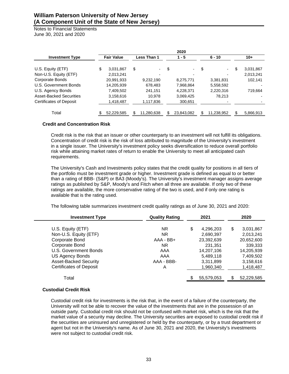Notes to Financial Statements June 30, 2021 and 2020

|                                |                   |                  | 2020             |                                |                |
|--------------------------------|-------------------|------------------|------------------|--------------------------------|----------------|
| <b>Investment Type</b>         | <b>Fair Value</b> | Less Than 1      | $1 - 5$          | $6 - 10$                       | $10+$          |
| U.S. Equity (ETF)              | \$<br>3,031,867   | \$<br>$\sim$     | \$<br>-          | \$<br>$\overline{\phantom{a}}$ | S<br>3,031,867 |
| Non-U.S. Equity (ETF)          | 2,013,241         |                  |                  |                                | 2,013,241      |
| Corporate Bonds                | 20,991,933        | 9.232.190        | 8.275.771        | 3,381,831                      | 102,141        |
| U.S. Government Bonds          | 14,205,939        | 678,483          | 7,968,864        | 5,558,592                      |                |
| U.S. Agency Bonds              | 7,409,502         | 241.151          | 4,228,371        | 2,220,316                      | 719.664        |
| <b>Asset-Backed Securities</b> | 3,158,616         | 10.978           | 3,069,425        | 78,213                         |                |
| Certificates of Deposit        | 1,418,487         | 1,117,836        | 300,651          |                                |                |
| Total                          | 52,229,585        | 11,280,638<br>\$ | 23,843,082<br>S. | S<br>11,238,952                | 5,866,913      |

### **Credit and Concentration Risk**

Credit risk is the risk that an issuer or other counterparty to an investment will not fulfill its obligations. Concentration of credit risk is the risk of loss attributed to magnitude of the University's investment in a single issuer. The University's investment policy seeks diversification to reduce overall portfolio risk while attaining market rates of return to enable the University to meet all anticipated cash requirements.

The University's Cash and Investments policy states that the credit quality for positions in all tiers of the portfolio must be investment grade or higher. Investment grade is defined as equal to or better than a rating of BBB- (S&P) or BA3 (Moody's). The University's investment manager assigns average ratings as published by S&P, Moody's and Fitch when all three are available. If only two of these ratings are available, the more conservative rating of the two is used, and if only one rating is available that is the rating used.

The following table summarizes investment credit quality ratings as of June 30, 2021 and 2020:

| <b>Investment Type</b>         | <b>Quality Rating</b> | 2021            | 2020            |
|--------------------------------|-----------------------|-----------------|-----------------|
|                                |                       |                 |                 |
| U.S. Equity (ETF)              | ΝR                    | \$<br>4,296,203 | \$<br>3,031,867 |
| Non-U.S. Equity (ETF)          | ΝR                    | 2,690,397       | 2,013,241       |
| Corporate Bond                 | $AAA - BB +$          | 23,392,639      | 20,652,600      |
| Corporate Bond                 | <b>NR</b>             | 231,351         | 339,333         |
| U.S. Government Bonds          | AAA                   | 14.207.106      | 14,205,939      |
| <b>US Agency Bonds</b>         | AAA                   | 5,489,118       | 7,409,502       |
| <b>Asset-Backed Security</b>   | AAA - BBB-            | 3,311,899       | 3,158,616       |
| <b>Certificates of Deposit</b> | А                     | 1,960,340       | 1,418,487       |
|                                |                       |                 |                 |
| Total                          |                       | 55,579,053      | 52,229,585      |

### **Custodial Credit Risk**

Custodial credit risk for investments is the risk that, in the event of a failure of the counterparty, the University will not be able to recover the value of the investments that are in the possession of an outside party. Custodial credit risk should not be confused with market risk, which is the risk that the market value of a security may decline. The University securities are exposed to custodial credit risk if the securities are uninsured and unregistered or held by the counterparty, or by a trust department or agent but not in the University's name. As of June 30, 2021 and 2020, the University's investments were not subject to custodial credit risk.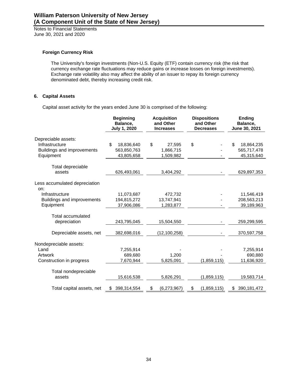### **Foreign Currency Risk**

The University's foreign investments (Non-U.S. Equity (ETF) contain currency risk (the risk that currency exchange rate fluctuations may reduce gains or increase losses on foreign investments). Exchange rate volatility also may affect the ability of an issuer to repay its foreign currency denominated debt, thereby increasing credit risk.

### **6. Capital Assets**

Capital asset activity for the years ended June 30 is comprised of the following:

|                                                                                  | <b>Beginning</b><br>Balance,<br><b>July 1, 2020</b> | <b>Acquisition</b><br>and Other<br><b>Increases</b> | <b>Dispositions</b><br>and Other<br><b>Decreases</b> | Ending<br>Balance,<br>June 30, 2021           |  |
|----------------------------------------------------------------------------------|-----------------------------------------------------|-----------------------------------------------------|------------------------------------------------------|-----------------------------------------------|--|
| Depreciable assets:<br>Infrastructure<br>Buildings and improvements<br>Equipment | \$.<br>18,836,640<br>563,850,763<br>43,805,658      | \$<br>27,595<br>1,866,715<br>1,509,982              | \$                                                   | \$<br>18,864,235<br>565,717,478<br>45,315,640 |  |
| Total depreciable<br>assets                                                      | 626,493,061                                         | 3,404,292                                           |                                                      | 629,897,353                                   |  |
| Less accumulated depreciation<br>on:                                             |                                                     |                                                     |                                                      |                                               |  |
| Infrastructure                                                                   | 11,073,687                                          | 472,732                                             |                                                      | 11,546,419                                    |  |
| Buildings and improvements                                                       | 194,815,272                                         | 13,747,941                                          |                                                      | 208,563,213                                   |  |
| Equipment                                                                        | 37,906,086                                          | 1,283,877                                           |                                                      | 39,189,963                                    |  |
| <b>Total accumulated</b><br>depreciation                                         | 243,795,045                                         | 15,504,550                                          |                                                      | 259,299,595                                   |  |
| Depreciable assets, net                                                          | 382,698,016                                         | (12, 100, 258)                                      |                                                      | 370,597,758                                   |  |
| Nondepreciable assets:                                                           |                                                     |                                                     |                                                      |                                               |  |
| Land<br>Artwork                                                                  | 7,255,914<br>689,680                                | 1,200                                               |                                                      | 7,255,914<br>690,880                          |  |
| Construction in progress                                                         | 7,670,944                                           | 5,825,091                                           | (1,859,115)                                          | 11,636,920                                    |  |
|                                                                                  |                                                     |                                                     |                                                      |                                               |  |
| Total nondepreciable                                                             |                                                     |                                                     |                                                      |                                               |  |
| assets                                                                           | 15,616,538                                          | 5,826,291                                           | (1,859,115)                                          | 19,583,714                                    |  |
| Total capital assets, net                                                        | 398,314,554<br>\$                                   | (6,273,967)<br>\$                                   | (1,859,115)<br>\$                                    | \$ 390,181,472                                |  |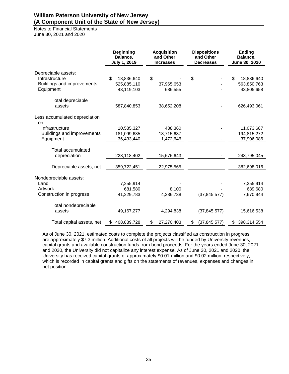Notes to Financial Statements June 30, 2021 and 2020

|                                         | <b>Beginning</b><br>Balance,<br><b>July 1, 2019</b> | <b>Acquisition</b><br>and Other<br><b>Increases</b> | <b>Dispositions</b><br>and Other<br><b>Decreases</b> | Ending<br>Balance,<br>June 30, 2020 |
|-----------------------------------------|-----------------------------------------------------|-----------------------------------------------------|------------------------------------------------------|-------------------------------------|
| Depreciable assets:<br>Infrastructure   | \$<br>18,836,640                                    | \$                                                  | \$                                                   | \$<br>18,836,640                    |
| Buildings and improvements<br>Equipment | 525,885,110<br>43,119,103                           | 37,965,653<br>686,555                               |                                                      | 563,850,763<br>43,805,658           |
| Total depreciable                       |                                                     |                                                     |                                                      |                                     |
| assets                                  | 587,840,853                                         | 38,652,208                                          |                                                      | 626,493,061                         |
| Less accumulated depreciation<br>on:    |                                                     |                                                     |                                                      |                                     |
| Infrastructure                          | 10,585,327                                          | 488,360                                             |                                                      | 11,073,687                          |
| Buildings and improvements              | 181,099,635                                         | 13,715,637                                          |                                                      | 194,815,272                         |
| Equipment                               | 36,433,440                                          | 1,472,646                                           |                                                      | 37,906,086                          |
| <b>Total accumulated</b>                |                                                     |                                                     |                                                      |                                     |
| depreciation                            | 228,118,402                                         | 15,676,643                                          |                                                      | 243,795,045                         |
| Depreciable assets, net                 | 359,722,451                                         | 22,975,565                                          |                                                      | 382,698,016                         |
| Nondepreciable assets:                  |                                                     |                                                     |                                                      |                                     |
| Land                                    | 7,255,914                                           |                                                     |                                                      | 7,255,914                           |
| Artwork                                 | 681,580                                             | 8,100                                               |                                                      | 689,680                             |
| Construction in progress                | 41,229,783                                          | 4,286,738                                           | (37, 845, 577)                                       | 7,670,944                           |
| Total nondepreciable                    |                                                     |                                                     |                                                      |                                     |
| assets                                  | 49, 167, 277                                        | 4,294,838                                           | (37, 845, 577)                                       | 15,616,538                          |
| Total capital assets, net               | \$<br>408,889,728                                   | 27,270,403<br>\$                                    | \$<br>(37, 845, 577)                                 | \$<br>398,314,554                   |

As of June 30, 2021, estimated costs to complete the projects classified as construction in progress are approximately \$7.3 million. Additional costs of all projects will be funded by University revenues, capital grants and available construction funds from bond proceeds. For the years ended June 30, 2021 and 2020, the University did not capitalize any interest expense. As of June 30, 2021 and 2020, the University has received capital grants of approximately \$0.01 million and \$0.02 million, respectively, which is recorded in capital grants and gifts on the statements of revenues, expenses and changes in net position.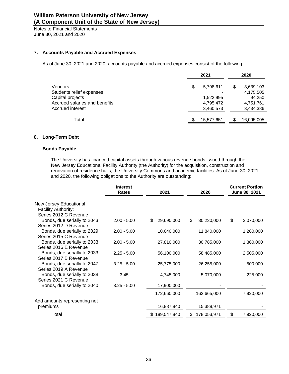### **7. Accounts Payable and Accrued Expenses**

As of June 30, 2021 and 2020, accounts payable and accrued expenses consist of the following:

|                               | 2021 |            |    | 2020       |  |  |
|-------------------------------|------|------------|----|------------|--|--|
| Vendors                       | \$   | 5,798,611  | \$ | 3,639,103  |  |  |
| Students relief expenses      |      |            |    | 4,175,505  |  |  |
| Capital projects              |      | 1,522,995  |    | 94,250     |  |  |
| Accrued salaries and benefits |      | 4,795,472  |    | 4,751,761  |  |  |
| Accrued interest              |      | 3,460,573  |    | 3,434,386  |  |  |
| Total                         |      | 15,577,651 |    | 16,095,005 |  |  |
|                               |      |            |    |            |  |  |

### **8. Long-Term Debt**

### **Bonds Payable**

The University has financed capital assets through various revenue bonds issued through the New Jersey Educational Facility Authority (the Authority) for the acquisition, construction and renovation of residence halls, the University Commons and academic facilities. As of June 30, 2021 and 2020, the following obligations to the Authority are outstanding:

|                              | <b>Interest</b><br><b>Rates</b> | 2021             | 2020              | <b>Current Portion</b><br>June 30, 2021 |  |
|------------------------------|---------------------------------|------------------|-------------------|-----------------------------------------|--|
| New Jersey Educational       |                                 |                  |                   |                                         |  |
| Facility Authority:          |                                 |                  |                   |                                         |  |
| Series 2012 C Revenue        |                                 |                  |                   |                                         |  |
| Bonds, due serially to 2043  | $2.00 - 5.00$                   | 29,690,000<br>\$ | \$<br>30,230,000  | \$<br>2,070,000                         |  |
| Series 2012 D Revenue        |                                 |                  |                   |                                         |  |
| Bonds, due serially to 2029  | $2.00 - 5.00$                   | 10,640,000       | 11,840,000        | 1,260,000                               |  |
| Series 2015 C Revenue        |                                 |                  |                   |                                         |  |
| Bonds, due serially to 2033  | $2.00 - 5.00$                   | 27,810,000       | 30,785,000        | 1,360,000                               |  |
| Series 2016 E Revenue        |                                 |                  |                   |                                         |  |
| Bonds, due serially to 2033  | $2.25 - 5.00$                   | 56,100,000       | 58,485,000        | 2,505,000                               |  |
| Series 2017 B Revenue        |                                 |                  |                   |                                         |  |
| Bonds, due serially to 2047  | $3.25 - 5.00$                   | 25,775,000       | 26,255,000        | 500,000                                 |  |
| Series 2019 A Revenue        |                                 |                  |                   |                                         |  |
| Bonds, due serially to 2038  | 3.45                            | 4,745,000        | 5,070,000         | 225,000                                 |  |
| Series 2021 C Revenue        |                                 |                  |                   |                                         |  |
| Bonds, due serially to 2040  | $3.25 - 5.00$                   | 17,900,000       |                   |                                         |  |
|                              |                                 | 172,660,000      | 162,665,000       | 7,920,000                               |  |
| Add amounts representing net |                                 |                  |                   |                                         |  |
| premiums                     |                                 | 16,887,840       | 15,388,971        |                                         |  |
| Total                        |                                 | 189,547,840      | \$<br>178,053,971 | \$<br>7,920,000                         |  |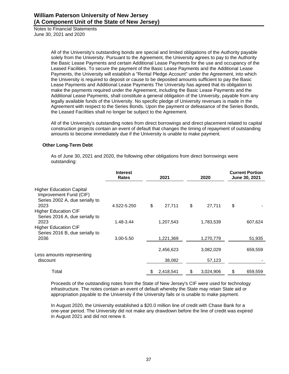> All of the University's outstanding bonds are special and limited obligations of the Authority payable solely from the University. Pursuant to the Agreement, the University agrees to pay to the Authority the Basic Lease Payments and certain Additional Lease Payments for the use and occupancy of the Leased Facilities. To secure the payment of the Basic Lease Payments and the Additional Lease Payments, the University will establish a "Rental Pledge Account" under the Agreement, into which the University is required to deposit or cause to be deposited amounts sufficient to pay the Basic Lease Payments and Additional Lease Payments The University has agreed that its obligation to make the payments required under the Agreement, including the Basic Lease Payments and the Additional Lease Payments, shall constitute a general obligation of the University, payable from any legally available funds of the University. No specific pledge of University revenues is made in the Agreement with respect to the Series Bonds. Upon the payment or defeasance of the Series Bonds, the Leased Facilities shall no longer be subject to the Agreement.

All of the University's outstanding notes from direct borrowings and direct placement related to capital construction projects contain an event of default that changes the timing of repayment of outstanding amounts to become immediately due if the University is unable to make payment.

### **Other Long-Term Debt**

As of June 30, 2021 and 2020, the following other obligations from direct borrowings were outstanding:

|                                                                                                     | <b>Interest</b><br><b>Rates</b> | 2021         | 2020            | <b>Current Portion</b><br>June 30, 2021 |
|-----------------------------------------------------------------------------------------------------|---------------------------------|--------------|-----------------|-----------------------------------------|
| <b>Higher Education Capital</b><br>Improvement Fund (CIF)<br>Series 2002 A, due serially to<br>2023 | 4.522-5.250                     | \$<br>27,711 | \$<br>27,711    | \$                                      |
| <b>Higher Education CIF</b><br>Series 2016 A, due serially to                                       |                                 |              |                 |                                         |
| 2023<br><b>Higher Education CIF</b><br>Series 2016 B, due serially to                               | 1.48-3.44                       | 1,207,543    | 1,783,539       | 607,624                                 |
| 2036                                                                                                | 3.00-5.50                       | 1,221,369    | 1,270,779       | 51,935                                  |
| Less amounts representing                                                                           |                                 | 2,456,623    | 3,082,029       | 659,559                                 |
| discount                                                                                            |                                 | 38,082       | 57,123          |                                         |
| Total                                                                                               |                                 | 2,418,541    | \$<br>3,024,906 | \$<br>659,559                           |

Proceeds of the outstanding notes from the State of New Jersey's CIF were used for technology infrastructure. The notes contain an event of default whereby the State may retain State aid or appropriation payable to the University if the University fails or is unable to make payment.

In August 2020, the University established a \$20.0 million line of credit with Chase Bank for a one-year period. The University did not make any drawdown before the line of credit was expired in August 2021 and did not renew it.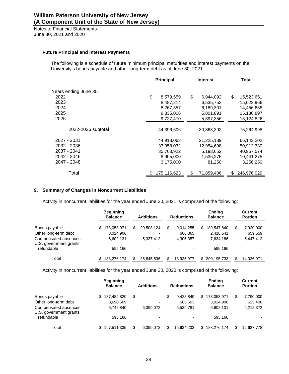Notes to Financial Statements June 30, 2021 and 2020

### **Future Principal and Interest Payments**

The following is a schedule of future minimum principal maturities and interest payments on the University's bonds payable and other long-term debt as of June 30, 2021:

|                       | <b>Principal</b> | Interest        | Total            |
|-----------------------|------------------|-----------------|------------------|
| Years ending June 30: |                  |                 |                  |
| 2022                  | \$<br>8,579,559  | \$<br>6,944,092 | \$<br>15,523,651 |
| 2023                  | 8,487,214        | 6,535,752       | 15,022,966       |
| 2024                  | 8,267,357        | 6,189,301       | 14,456,658       |
| 2025                  | 9,335,006        | 5,801,891       | 15,136,897       |
| 2026                  | 9,727,470        | 5,397,356       | 15,124,826       |
| 2022-2026 subtotal    | 44,396,606       | 30,868,392      | 75,264,998       |
| 2027 - 2031           | 44,918,063       | 21,225,139      | 66,143,202       |
| 2032 - 2036           | 37,958,032       | 12,954,698      | 50,912,730       |
| 2037 - 2041           | 35,763,922       | 5,193,652       | 40,957,574       |
| 2042 - 2046           | 8,905,000        | 1,536,275       | 10,441,275       |
| 2047 - 2048           | 3,175,000        | 81,250          | 3,256,250        |
| Total                 | 175,116,623      | 71.859.406<br>S | 246,976,029<br>S |

### **9. Summary of Changes in Noncurrent Liabilities**

Activity in noncurrent liabilities for the year ended June 30, 2021 is comprised of the following:

|                                                | <b>Beginning</b><br><b>Balance</b> | <b>Additions</b>         | <b>Reductions</b> | <b>Ending</b><br><b>Balance</b> | Current<br><b>Portion</b> |
|------------------------------------------------|------------------------------------|--------------------------|-------------------|---------------------------------|---------------------------|
| Bonds payable                                  | 178,053,971<br>\$                  | 20.508.124<br>S          | 9.014.255<br>S    | 189,547,840<br>\$.              | 7,920,000<br>S            |
| Other long-term debt                           | 3,024,906                          | $\overline{\phantom{0}}$ | 606,365           | 2,418,541                       | 659,559                   |
| Compensated absences<br>U.S. government grants | 6,602,131                          | 5.337.412                | 4,305,357         | 7.634.186                       | 5,447,412                 |
| refundable                                     | 595,166                            | ۰                        |                   | 595,166                         |                           |
| Total                                          | 188,276,174                        | \$.<br>25,845,536        | 13,925,977        | 200,195,733<br>\$.              | 14,026,971                |

Activity in noncurrent liabilities for the year ended June 30, 2020 is comprised of the following:

|                                                | <b>Beginning</b><br><b>Balance</b> | <b>Additions</b>               | <b>Reductions</b> | <b>Ending</b><br><b>Balance</b> | <b>Current</b><br><b>Portion</b> |
|------------------------------------------------|------------------------------------|--------------------------------|-------------------|---------------------------------|----------------------------------|
| Bonds payable                                  | 187,482,820<br>S                   | \$<br>$\overline{\phantom{a}}$ | S<br>9.428.849    | 178.053.971<br>S                | 7,790,000<br>S                   |
| Other long-term debt                           | 3,690,509                          | $\overline{\phantom{a}}$       | 665.603           | 3,024,906                       | 625,406                          |
| Compensated absences<br>U.S. government grants | 5,742,840                          | 6,399,072                      | 5,539,781         | 6,602,131                       | 4,212,372                        |
| refundable                                     | 595,166                            | $\blacksquare$                 |                   | 595,166                         |                                  |
| Total                                          | 197,511,335                        | 6,399,072                      | 15,634,233        | 188,276,174<br>\$.              | 12,627,778                       |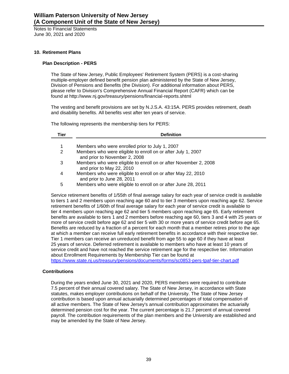### **10. Retirement Plans**

### **Plan Description - PERS**

The State of New Jersey, Public Employees' Retirement System (PERS) is a cost-sharing multiple-employer defined benefit pension plan administered by the State of New Jersey, Division of Pensions and Benefits (the Division). For additional information about PERS, please refer to Division's Comprehensive Annual Financial Report (CAFR) which can be found at http://www.nj.gov/treasury/pensions/financial-reports.shtml

The vesting and benefit provisions are set by N.J.S.A. 43:15A. PERS provides retirement, death and disability benefits. All benefits vest after ten years of service.

The following represents the membership tiers for PERS:

| Tier | <b>Definition</b>                                                                             |
|------|-----------------------------------------------------------------------------------------------|
|      |                                                                                               |
|      | Members who were enrolled prior to July 1, 2007                                               |
| 2    | Members who were eligible to enroll on or after July 1, 2007<br>and prior to November 2, 2008 |
| 3    | Members who were eligible to enroll on or after November 2, 2008<br>and prior to May 22, 2010 |
| 4    | Members who were eligible to enroll on or after May 22, 2010<br>and prior to June 28, 2011    |
| 5    | Members who were eligible to enroll on or after June 28, 2011                                 |

Service retirement benefits of 1/55th of final average salary for each year of service credit is available to tiers 1 and 2 members upon reaching age 60 and to tier 3 members upon reaching age 62. Service retirement benefits of 1/60th of final average salary for each year of service credit is available to tier 4 members upon reaching age 62 and tier 5 members upon reaching age 65. Early retirement benefits are available to tiers 1 and 2 members before reaching age 60, tiers 3 and 4 with 25 years or more of service credit before age 62 and tier 5 with 30 or more years of service credit before age 65. Benefits are reduced by a fraction of a percent for each month that a member retires prior to the age at which a member can receive full early retirement benefits in accordance with their respective tier. Tier 1 members can receive an unreduced benefit from age 55 to age 60 if they have at least 25 years of service. Deferred retirement is available to members who have at least 10 years of service credit and have not reached the service retirement age for the respective tier. Information about Enrollment Requirements by Membership Tier can be found at <https://www.state.nj.us/treasury/pensions/documents/forms/sc0853-pers-tpaf-tier-chart.pdf>

**Contributions**

During the years ended June 30, 2021 and 2020, PERS members were required to contribute 7.5 percent of their annual covered salary. The State of New Jersey, in accordance with State statutes, makes employer contributions on behalf of the University. The State of New Jersey contribution is based upon annual actuarially determined percentages of total compensation of all active members. The State of New Jersey's annual contribution approximates the actuarially determined pension cost for the year. The current percentage is 21.7 percent of annual covered payroll. The contribution requirements of the plan members and the University are established and may be amended by the State of New Jersey.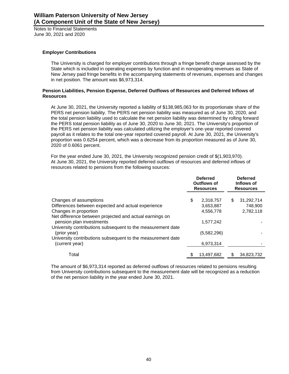### **Employer Contributions**

The University is charged for employer contributions through a fringe benefit charge assessed by the State which is included in operating expenses by function and in nonoperating revenues as State of New Jersey paid fringe benefits in the accompanying statements of revenues, expenses and changes in net position. The amount was \$6,973,314.

### **Pension Liabilities, Pension Expense, Deferred Outflows of Resources and Deferred Inflows of Resources**

At June 30, 2021, the University reported a liability of \$138,985,063 for its proportionate share of the PERS net pension liability. The PERS net pension liability was measured as of June 30, 2020, and the total pension liability used to calculate the net pension liability was determined by rolling forward the PERS total pension liability as of June 30, 2020 to June 30, 2021. The University's proportion of the PERS net pension liability was calculated utilizing the employer's one-year reported covered payroll as it relates to the total one-year reported covered payroll. At June 30, 2021, the University's proportion was 0.6254 percent, which was a decrease from its proportion measured as of June 30, 2020 of 0.6061 percent.

For the year ended June 30, 2021, the University recognized pension credit of \$(1,903,970). At June 30, 2021, the University reported deferred outflows of resources and deferred inflows of resources related to pensions from the following sources:

|                                                                                     | <b>Deferred</b><br><b>Outflows of</b><br><b>Resources</b> |             | <b>Deferred</b><br>Inflows of<br><b>Resources</b> |            |
|-------------------------------------------------------------------------------------|-----------------------------------------------------------|-------------|---------------------------------------------------|------------|
|                                                                                     | \$                                                        |             |                                                   |            |
| Changes of assumptions                                                              |                                                           | 2,318,757   | \$                                                | 31,292,714 |
| Differences between expected and actual experience                                  |                                                           | 3,653,887   |                                                   | 748,900    |
| Changes in proportion                                                               |                                                           | 4,556,778   |                                                   | 2,782,118  |
| Net difference between projected and actual earnings on<br>pension plan investments |                                                           | 1,577,242   |                                                   |            |
| University contributions subsequent to the measurement date<br>(prior year)         |                                                           | (5,582,296) |                                                   |            |
| University contributions subsequent to the measurement date<br>(current year)       |                                                           | 6,973,314   |                                                   |            |
| Total                                                                               |                                                           | 13,497,682  |                                                   | 34,823,732 |

The amount of \$6,973,314 reported as deferred outflows of resources related to pensions resulting from University contributions subsequent to the measurement date will be recognized as a reduction of the net pension liability in the year ended June 30, 2021.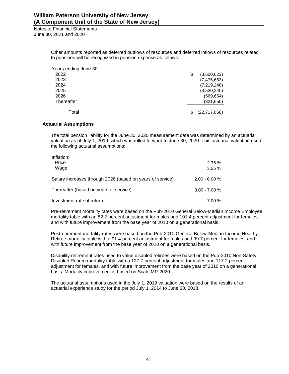> Other amounts reported as deferred outflows of resources and deferred inflows of resources related to pensions will be recognized in pension expense as follows:

| Years ending June 30: |                   |
|-----------------------|-------------------|
| 2022                  | \$<br>(3,600,623) |
| 2023                  | (7, 475, 653)     |
| 2024                  | (7,219,248)       |
| 2025                  | (3,530,240)       |
| 2026                  | (569, 654)        |
| <b>Thereafter</b>     | (321, 650)        |
|                       |                   |
| Total                 | (22, 717, 068)    |

#### **Actuarial Assumptions**

The total pension liability for the June 30, 2020 measurement date was determined by an actuarial valuation as of July 1, 2019, which was rolled forward to June 30, 2020. This actuarial valuation used the following actuarial assumptions:

| Inflation:<br>Price<br>Wage                               | 2.75%<br>3.25%  |
|-----------------------------------------------------------|-----------------|
| Salary increases through 2026 (based on years of service) | $2.00 - 6.00 %$ |
| Thereafter (based on years of service)                    | $3.00 - 7.00 %$ |
| Investment rate of return                                 | 7.00 %          |

Pre-retirement mortality rates were based on the Pub-2010 General Below-Median Income Employee mortality table with an 82.2 percent adjustment for males and 101.4 percent adjustment for females, and with future improvement from the base year of 2010 on a generational basis.

Postretirement mortality rates were based on the Pub-2010 General Below-Median Income Healthy Retiree mortality table with a 91.4 percent adjustment for males and 99.7 percent for females, and with future improvement from the base year of 2010 on a generational basis.

Disability retirement rates used to value disabled retirees were based on the Pub-2010 Non-Safety Disabled Retiree mortality table with a 127.7 percent adjustment for males and 117.2 percent adjustment for females, and with future improvement from the base year of 2010 on a generational basis. Mortality improvement is based on Scale MP-2020.

The actuarial assumptions used in the July 1, 2019 valuation were based on the results of an actuarial experience study for the period July 1, 2014 to June 30, 2018.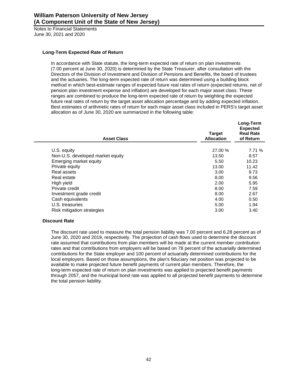### **Long-Term Expected Rate of Return**

In accordance with State statute, the long-term expected rate of return on plan investments (7.00 percent at June 30, 2020) is determined by the State Treasurer, after consultation with the Directors of the Division of Investment and Division of Pensions and Benefits, the board of trustees and the actuaries. The long-term expected rate of return was determined using a building block method in which best-estimate ranges of expected future real rates of return (expected returns, net of pension plan investment expense and inflation) are developed for each major asset class. These ranges are combined to produce the long-term expected rate of return by weighting the expected future real rates of return by the target asset allocation percentage and by adding expected inflation. Best estimates of arithmetic rates of return for each major asset class included in PERS's target asset allocation as of June 30, 2020 are summarized in the following table:

| <b>Asset Class</b>               | <b>Target</b><br><b>Allocation</b> | Long-Term<br><b>Expected</b><br><b>Real Rate</b><br>of Return |
|----------------------------------|------------------------------------|---------------------------------------------------------------|
| U.S. equity                      | 27.00 %                            | 7.71%                                                         |
| Non-U.S. developed market equity | 13.50                              | 8.57                                                          |
| Emerging market equity           | 5.50                               | 10.23                                                         |
| Private equity                   | 13.00                              | 11.42                                                         |
| Real assets                      | 3.00                               | 9.73                                                          |
| Real estate                      | 8.00                               | 9.56                                                          |
| High yield                       | 2.00                               | 5.95                                                          |
| Private credit                   | 8.00                               | 7.59                                                          |
| Investment grade credit          | 8.00                               | 2.67                                                          |
| Cash equivalents                 | 4.00                               | 0.50                                                          |
| U.S. treasuries                  | 5.00                               | 1.94                                                          |
| Risk mitigation strategies       | 3.00                               | 3.40                                                          |

### **Discount Rate**

The discount rate used to measure the total pension liability was 7.00 percent and 6.28 percent as of June 30, 2020 and 2019, respectively. The projection of cash flows used to determine the discount rate assumed that contributions from plan members will be made at the current member contribution rates and that contributions from employers will be based on 78 percent of the actuarially determined contributions for the State employer and 100 percent of actuarially determined contributions for the local employers. Based on those assumptions, the plan's fiduciary net position was projected to be available to make projected future benefit payments of current plan members. Therefore, the long-term expected rate of return on plan investments was applied to projected benefit payments through 2057, and the municipal bond rate was applied to all projected benefit payments to determine the total pension liability.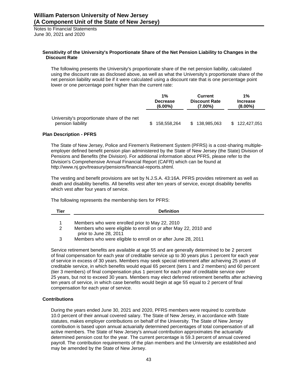### **Sensitivity of the University's Proportionate Share of the Net Pension Liability to Changes in the Discount Rate**

The following presents the University's proportionate share of the net pension liability, calculated using the discount rate as disclosed above, as well as what the University's proportionate share of the net pension liability would be if it were calculated using a discount rate that is one percentage point lower or one percentage point higher than the current rate:

|                                                                  | $1\%$<br><b>Decrease</b><br>$(6.00\%)$ |     | <b>Current</b><br><b>Discount Rate</b><br>$(7.00\%)$ | $1\%$<br><b>Increase</b><br>$(8.00\%)$ |
|------------------------------------------------------------------|----------------------------------------|-----|------------------------------------------------------|----------------------------------------|
| University's proportionate share of the net<br>pension liability | 158,558,264                            | \$. | 138,985,063                                          | \$122.427.051                          |

### **Plan Description - PFRS**

The State of New Jersey, Police and Firemen's Retirement System (PFRS) is a cost-sharing multipleemployer defined benefit pension plan administered by the State of New Jersey (the State) Division of Pensions and Benefits (the Division). For additional information about PFRS, please refer to the Division's Comprehensive Annual Financial Report (CAFR) which can be found at http://www.nj.gov/treasury/pensions/financial-reports.shtml.

The vesting and benefit provisions are set by N.J.S.A. 43:16A. PFRS provides retirement as well as death and disability benefits. All benefits vest after ten years of service, except disability benefits which vest after four years of service.

The following represents the membership tiers for PFRS:

| Tier | <b>Definition</b>                                                |
|------|------------------------------------------------------------------|
|      |                                                                  |
|      | Members who were enrolled prior to May 22, 2010                  |
| 2    | Members who were eligible to enroll on or after May 22, 2010 and |
|      | prior to June 28, 2011                                           |
| 3    | Members who were eligible to enroll on or after June 28, 2011    |

Service retirement benefits are available at age 55 and are generally determined to be 2 percent of final compensation for each year of creditable service up to 30 years plus 1 percent for each year of service in excess of 30 years. Members may seek special retirement after achieving 25 years of creditable service, in which benefits would equal 65 percent (tiers 1 and 2 members) and 60 percent (tier 3 members) of final compensation plus 1 percent for each year of creditable service over 25 years, but not to exceed 30 years. Members may elect deferred retirement benefits after achieving ten years of service, in which case benefits would begin at age 55 equal to 2 percent of final compensation for each year of service.

### **Contributions**

During the years ended June 30, 2021 and 2020, PFRS members were required to contribute 10.0 percent of their annual covered salary. The State of New Jersey, in accordance with State statutes, makes employer contributions on behalf of the University. The State of New Jersey contribution is based upon annual actuarially determined percentages of total compensation of all active members. The State of New Jersey's annual contribution approximates the actuarially determined pension cost for the year. The current percentage is 59.3 percent of annual covered payroll. The contribution requirements of the plan members and the University are established and may be amended by the State of New Jersey.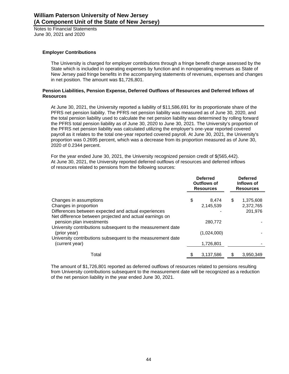### **Employer Contributions**

The University is charged for employer contributions through a fringe benefit charge assessed by the State which is included in operating expenses by function and in nonoperating revenues as State of New Jersey paid fringe benefits in the accompanying statements of revenues, expenses and changes in net position. The amount was \$1,726,801.

### **Pension Liabilities, Pension Expense, Deferred Outflows of Resources and Deferred Inflows of Resources**

At June 30, 2021, the University reported a liability of \$11,586,691 for its proportionate share of the PFRS net pension liability. The PFRS net pension liability was measured as of June 30, 2020, and the total pension liability used to calculate the net pension liability was determined by rolling forward the PFRS total pension liability as of June 30, 2020 to June 30, 2021. The University's proportion of the PFRS net pension liability was calculated utilizing the employer's one-year reported covered payroll as it relates to the total one-year reported covered payroll. At June 30, 2021, the University's proportion was 0.2695 percent, which was a decrease from its proportion measured as of June 30, 2020 of 0.2344 percent.

For the year ended June 30, 2021, the University recognized pension credit of \$(565,442). At June 30, 2021, the University reported deferred outflows of resources and deferred inflows of resources related to pensions from the following sources:

|                                                                                                                | <b>Deferred</b><br>Outflows of<br><b>Resources</b> |             | <b>Deferred</b><br>Inflows of<br><b>Resources</b> |           |
|----------------------------------------------------------------------------------------------------------------|----------------------------------------------------|-------------|---------------------------------------------------|-----------|
| Changes in assumptions                                                                                         | \$                                                 | 8.474       | \$                                                | 1,375,608 |
| Changes in proportion                                                                                          |                                                    | 2,145,539   |                                                   | 2,372,765 |
| Differences between expected and actual experiences<br>Net difference between projected and actual earnings on |                                                    |             |                                                   | 201,976   |
| pension plan investments<br>University contributions subsequent to the measurement date                        |                                                    | 280,772     |                                                   |           |
| (prior year)<br>University contributions subsequent to the measurement date                                    |                                                    | (1,024,000) |                                                   |           |
| (current year)                                                                                                 |                                                    | 1,726,801   |                                                   |           |
| Total                                                                                                          |                                                    | 3,137,586   | S                                                 | 3.950.349 |

The amount of \$1,726,801 reported as deferred outflows of resources related to pensions resulting from University contributions subsequent to the measurement date will be recognized as a reduction of the net pension liability in the year ended June 30, 2021.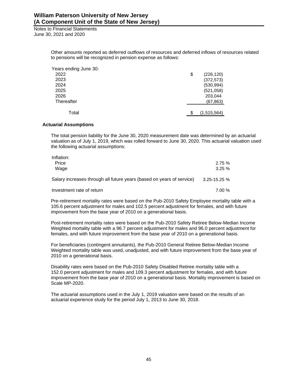> Other amounts reported as deferred outflows of resources and deferred inflows of resources related to pensions will be recognized in pension expense as follows:

| Years ending June 30: |                   |
|-----------------------|-------------------|
| 2022                  | \$<br>(226, 120)  |
| 2023                  | (372, 573)        |
| 2024                  | (530, 994)        |
| 2025                  | (521, 058)        |
| 2026                  | 203,044           |
| Thereafter            | (67, 863)         |
| Total                 | \$<br>(1,515,564) |

#### **Actuarial Assumptions**

The total pension liability for the June 30, 2020 measurement date was determined by an actuarial valuation as of July 1, 2019, which was rolled forward to June 30, 2020. This actuarial valuation used the following actuarial assumptions:

| 2.75%<br>3.25%   |
|------------------|
| $3.25 - 15.25$ % |
| 7.00%            |
|                  |

Pre-retirement mortality rates were based on the Pub-2010 Safety Employee mortality table with a 105.6 percent adjustment for males and 102.5 percent adjustment for females, and with future improvement from the base year of 2010 on a generational basis.

Post-retirement mortality rates were based on the Pub-2010 Safety Retiree Below-Median Income Weighted mortality table with a 96.7 percent adjustment for males and 96.0 percent adjustment for females, and with future improvement from the base year of 2010 on a generational basis.

For beneficiaries (contingent annuitants), the Pub-2010 General Retiree Below-Median Income Weighted mortality table was used, unadjusted, and with future improvement from the base year of 2010 on a generational basis.

Disability rates were based on the Pub-2010 Safety Disabled Retiree mortality table with a 152.0 percent adjustment for males and 109.3 percent adjustment for females, and with future improvement from the base year of 2010 on a generational basis. Mortality improvement is based on Scale MP-2020.

The actuarial assumptions used in the July 1, 2019 valuation were based on the results of an actuarial experience study for the period July 1, 2013 to June 30, 2018.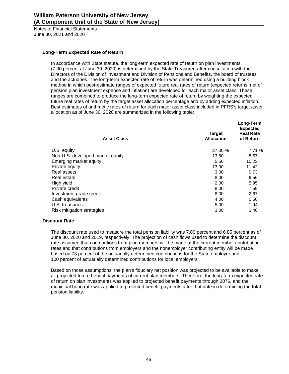### **Long-Term Expected Rate of Return**

In accordance with State statute, the long-term expected rate of return on plan investments (7.00 percent at June 30, 2020) is determined by the State Treasurer, after consultation with the Directors of the Division of Investment and Division of Pensions and Benefits, the board of trustees and the actuaries. The long-term expected rate of return was determined using a building block method in which best-estimate ranges of expected future real rates of return (expected returns, net of pension plan investment expense and inflation) are developed for each major asset class. These ranges are combined to produce the long-term expected rate of return by weighting the expected future real rates of return by the target asset allocation percentage and by adding expected inflation. Best estimates of arithmetic rates of return for each major asset class included in PFRS's target asset allocation as of June 30, 2020 are summarized in the following table:

| <b>Asset Class</b>               | <b>Target</b><br><b>Allocation</b> | Long-Term<br><b>Expected</b><br><b>Real Rate</b><br>of Return |
|----------------------------------|------------------------------------|---------------------------------------------------------------|
| U.S. equity                      | 27.00 %                            | 7.71%                                                         |
| Non-U.S. developed market equity | 13.50                              | 8.57                                                          |
| Emerging market equity           | 5.50                               | 10.23                                                         |
| Private equity                   | 13.00                              | 11.42                                                         |
| Real assets                      | 3.00                               | 9.73                                                          |
| Real estate                      | 8.00                               | 9.56                                                          |
| High yield                       | 2.00                               | 5.95                                                          |
| Private credit                   | 8.00                               | 7.59                                                          |
| Investment grade credit          | 8.00                               | 2.67                                                          |
| Cash equivalents                 | 4.00                               | 0.50                                                          |
| U.S. treasuries                  | 5.00                               | 1.94                                                          |
| Risk mitigation strategies       | 3.00                               | 3.40                                                          |

### **Discount Rate**

The discount rate used to measure the total pension liability was 7.00 percent and 6.85 percent as of June 30, 2020 and 2019, respectively. The projection of cash flows used to determine the discount rate assumed that contributions from plan members will be made at the current member contribution rates and that contributions from employers and the nonemployer contributing entity will be made based on 78 percent of the actuarially determined contributions for the State employer and 100 percent of actuarially determined contributions for local employers.

Based on those assumptions, the plan's fiduciary net position was projected to be available to make all projected future benefit payments of current plan members. Therefore, the long-term expected rate of return on plan investments was applied to projected benefit payments through 2076, and the municipal bond rate was applied to projected benefit payments after that date in determining the total pension liability.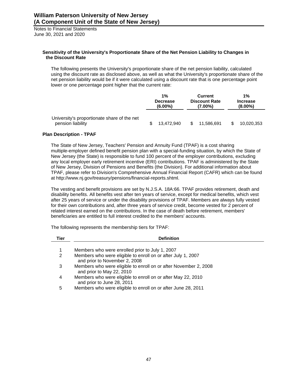### **Sensitivity of the University's Proportionate Share of the Net Pension Liability to Changes in the Discount Rate**

The following presents the University's proportionate share of the net pension liability, calculated using the discount rate as disclosed above, as well as what the University's proportionate share of the net pension liability would be if it were calculated using a discount rate that is one percentage point lower or one percentage point higher that the current rate:

|                                                                  | 1%<br><b>Decrease</b><br>$(6.00\%)$ |     | <b>Current</b><br><b>Discount Rate</b><br>$(7.00\%)$ | $1\%$<br><b>Increase</b><br>$(8.00\%)$ |
|------------------------------------------------------------------|-------------------------------------|-----|------------------------------------------------------|----------------------------------------|
| University's proportionate share of the net<br>pension liability | 13.472.940                          | \$. | 11.586.691                                           | 10,020,353                             |

### **Plan Description - TPAF**

The State of New Jersey, Teachers' Pension and Annuity Fund (TPAF) is a cost sharing multiple-employer defined benefit pension plan with a special-funding situation, by which the State of New Jersey (the State) is responsible to fund 100 percent of the employer contributions, excluding any local employer early retirement incentive (ERI) contributions. TPAF is administered by the State of New Jersey, Division of Pensions and Benefits (the Division). For additional information about TPAF, please refer to Division's Comprehensive Annual Financial Report (CAFR) which can be found at http://www.nj.gov/treasury/pensions/financial-reports.shtml.

The vesting and benefit provisions are set by N.J.S.A. 18A:66. TPAF provides retirement, death and disability benefits. All benefits vest after ten years of service, except for medical benefits, which vest after 25 years of service or under the disability provisions of TPAF. Members are always fully vested for their own contributions and, after three years of service credit, become vested for 2 percent of related interest earned on the contributions. In the case of death before retirement, members' beneficiaries are entitled to full interest credited to the members' accounts.

The following represents the membership tiers for TPAF:

| Tier | <b>Definition</b>                                                                             |
|------|-----------------------------------------------------------------------------------------------|
|      |                                                                                               |
|      | Members who were enrolled prior to July 1, 2007                                               |
| 2    | Members who were eligible to enroll on or after July 1, 2007<br>and prior to November 2, 2008 |
| 3    | Members who were eligible to enroll on or after November 2, 2008<br>and prior to May 22, 2010 |
| 4    | Members who were eligible to enroll on or after May 22, 2010<br>and prior to June 28, 2011    |
| 5    | Members who were eligible to enroll on or after June 28, 2011                                 |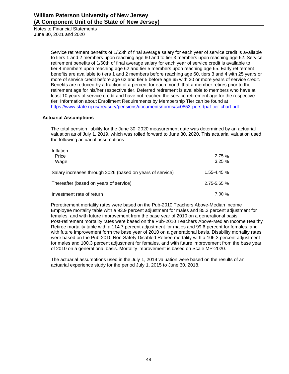> Service retirement benefits of 1/55th of final average salary for each year of service credit is available to tiers 1 and 2 members upon reaching age 60 and to tier 3 members upon reaching age 62. Service retirement benefits of 1/60th of final average salary for each year of service credit is available to tier 4 members upon reaching age 62 and tier 5 members upon reaching age 65. Early retirement benefits are available to tiers 1 and 2 members before reaching age 60, tiers 3 and 4 with 25 years or more of service credit before age 62 and tier 5 before age 65 with 30 or more years of service credit. Benefits are reduced by a fraction of a percent for each month that a member retires prior to the retirement age for his/her respective tier. Deferred retirement is available to members who have at least 10 years of service credit and have not reached the service retirement age for the respective tier. Information about Enrollment Requirements by Membership Tier can be found at <https://www.state.nj.us/treasury/pensions/documents/forms/sc0853-pers-tpaf-tier-chart.pdf>

### **Actuarial Assumptions**

The total pension liability for the June 30, 2020 measurement date was determined by an actuarial valuation as of July 1, 2019, which was rolled forward to June 30, 2020. This actuarial valuation used the following actuarial assumptions:

| Inflation:<br>Price<br>Wage                               | 2.75%<br>3.25%  |
|-----------------------------------------------------------|-----------------|
| Salary increases through 2026 (based on years of service) | $1.55 - 4.45$ % |
| Thereafter (based on years of service)                    | $2.75 - 5.65$ % |
| Investment rate of return                                 | 7.00%           |

Preretirement mortality rates were based on the Pub-2010 Teachers Above-Median Income Employee mortality table with a 93.9 percent adjustment for males and 85.3 percent adjustment for females, and with future improvement from the base year of 2010 on a generational basis. Post-retirement mortality rates were based on the Pub-2010 Teachers Above-Median Income Healthy Retiree mortality table with a 114.7 percent adjustment for males and 99.6 percent for females, and with future improvement form the base year of 2010 on a generational basis. Disability mortality rates were based on the Pub-2010 Non-Safety Disabled Retiree mortality with a 106.3 percent adjustment for males and 100.3 percent adjustment for females, and with future improvement from the base year of 2010 on a generational basis. Mortality improvement is based on Scale MP-2020.

The actuarial assumptions used in the July 1, 2019 valuation were based on the results of an actuarial experience study for the period July 1, 2015 to June 30, 2018.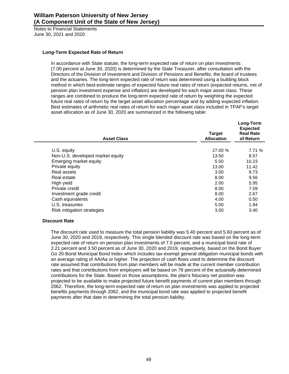### **Long-Term Expected Rate of Return**

In accordance with State statute, the long-term expected rate of return on plan investments (7.00 percent at June 30, 2020) is determined by the State Treasurer, after consultation with the Directors of the Division of Investment and Division of Pensions and Benefits, the board of trustees and the actuaries. The long-term expected rate of return was determined using a building block method in which best-estimate ranges of expected future real rates of return (expected returns, net of pension plan investment expense and inflation) are developed for each major asset class. These ranges are combined to produce the long-term expected rate of return by weighting the expected future real rates of return by the target asset allocation percentage and by adding expected inflation. Best estimates of arithmetic real rates of return for each major asset class included in TPAF's target asset allocation as of June 30, 2020 are summarized in the following table:

| <b>Asset Class</b>               | <b>Target</b><br><b>Allocation</b> | Long-Term<br><b>Expected</b><br><b>Real Rate</b><br>of Return |
|----------------------------------|------------------------------------|---------------------------------------------------------------|
| U.S. equity                      | 27.00 %                            | 7.71%                                                         |
| Non-U.S. developed market equity | 13.50                              | 8.57                                                          |
| Emerging market equity           | 5.50                               | 10.23                                                         |
| Private equity                   | 13.00                              | 11.42                                                         |
| Real assets                      | 3.00                               | 9.73                                                          |
| Real estate                      | 8.00                               | 9.56                                                          |
| High yield                       | 2.00                               | 5.95                                                          |
| Private credit                   | 8.00                               | 7.59                                                          |
| Investment grade credit          | 8.00                               | 2.67                                                          |
| Cash equivalents                 | 4.00                               | 0.50                                                          |
| U.S. treasuries                  | 5.00                               | 1.94                                                          |
| Risk mitigation strategies       | 3.00                               | 3.40                                                          |

### **Discount Rate**

The discount rate used to measure the total pension liability was 5.40 percent and 5.60 percent as of June 30, 2020 and 2019, respectively. This single blended discount rate was based on the long-term expected rate of return on pension plan investments of 7.0 percent, and a municipal bond rate of 2.21 percent and 3.50 percent as of June 30, 2020 and 2019, respectively, based on the Bond Buyer Go 20-Bond Municipal Bond Index which includes tax-exempt general obligation municipal bonds with an average rating of AA/Aa or higher. The projection of cash flows used to determine the discount rate assumed that contributions from plan members will be made at the current member contribution rates and that contributions from employers will be based on 78 percent of the actuarially determined contributions for the State. Based on those assumptions, the plan's fiduciary net position was projected to be available to make projected future benefit payments of current plan members through 2062. Therefore, the long-term expected rate of return on plan investments was applied to projected benefits payments through 2062, and the municipal bond rate was applied to projected benefit payments after that date in determining the total pension liability.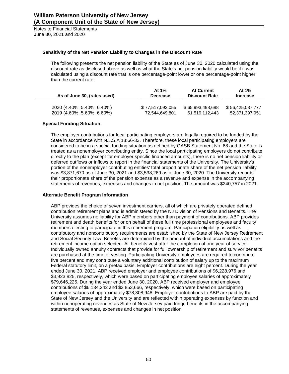### **Sensitivity of the Net Pension Liability to Changes in the Discount Rate**

The following presents the net pension liability of the State as of June 30, 2020 calculated using the discount rate as disclosed above as well as what the State's net pension liability would be if it was calculated using a discount rate that is one percentage-point lower or one percentage-point higher than the current rate:

| As of June 30, (rates used) | At $1\%$         | <b>At Current</b>    | At $1\%$         |
|-----------------------------|------------------|----------------------|------------------|
|                             | <b>Decrease</b>  | <b>Discount Rate</b> | <b>Increase</b>  |
| 2020 (4.40%, 5.40%, 6.40%)  | \$77.517.093.055 | \$65.993.498.688     | \$56.425.087.777 |
| 2019 (4.60%, 5.60%, 6.60%)  | 72,544,649,801   | 61,519,112,443       | 52,371,397,951   |

### **Special Funding Situation**

The employer contributions for local participating employers are legally required to be funded by the State in accordance with N.J.S.A 18:66-33. Therefore, these local participating employers are considered to be in a special funding situation as defined by GASB Statement No. 68 and the State is treated as a nonemployer contributing entity. Since the local participating employers do not contribute directly to the plan (except for employer specific financed amounts), there is no net pension liability or deferred outflows or inflows to report in the financial statements of the University. The University's portion of the nonemployer contributing entities' total proportionate share of the net pension liability was \$3,871,670 as of June 30, 2021 and \$3,538,269 as of June 30, 2020. The University records their proportionate share of the pension expense as a revenue and expense in the accompanying statements of revenues, expenses and changes in net position. The amount was \$240,757 in 2021.

### **Alternate Benefit Program Information**

ABP provides the choice of seven investment carriers, all of which are privately operated defined contribution retirement plans and is administered by the NJ Division of Pensions and Benefits. The University assumes no liability for ABP members other than payment of contributions. ABP provides retirement and death benefits for or on behalf of these full time professional employees and faculty members electing to participate in this retirement program. Participation eligibility as well as contributory and noncontributory requirements are established by the State of New Jersey Retirement and Social Security Law. Benefits are determined by the amount of individual accumulations and the retirement income option selected. All benefits vest after the completion of one year of service. Individually owned annuity contracts that provide for full ownership of retirement and survivor benefits are purchased at the time of vesting. Participating University employees are required to contribute five percent and may contribute a voluntary additional contribution of salary up to the maximum Federal statutory limit, on a pretax basis. Employer contributions are eight percent. During the year ended June 30, 2021, ABP received employer and employee contributions of \$6,228,976 and \$3,923,825, respectively, which were based on participating employee salaries of approximately \$79,646,225. During the year ended June 30, 2020, ABP received employer and employee contributions of \$6,134,242 and \$3,853,666, respectively, which were based on participating employee salaries of approximately \$78,308,948. Employer contributions to ABP are paid by the State of New Jersey and the University and are reflected within operating expenses by function and within nonoperating revenues as State of New Jersey paid fringe benefits in the accompanying statements of revenues, expenses and changes in net position.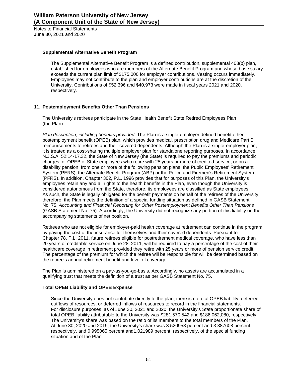### **Supplemental Alternative Benefit Program**

The Supplemental Alternative Benefit Program is a defined contribution, supplemental 403(b) plan, established for employees who are members of the Alternate Benefit Program and whose base salary exceeds the current plan limit of \$175,000 for employer contributions. Vesting occurs immediately. Employees may not contribute to the plan and employer contributions are at the discretion of the University. Contributions of \$52,396 and \$40,973 were made in fiscal years 2021 and 2020, respectively.

### **11. Postemployment Benefits Other Than Pensions**

The University's retirees participate in the State Health Benefit State Retired Employees Plan (the Plan).

*Plan description, including benefits provided:* The Plan is a single-employer defined benefit other postemployment benefit (OPEB) plan, which provides medical, prescription drug and Medicare Part B reimbursements to retirees and their covered dependents. Although the Plan is a single-employer plan, it is treated as a cost-sharing multiple employer plan for standalone reporting purposes. In accordance N.J.S.A. 52:14-17.32, the State of New Jersey (the State) is required to pay the premiums and periodic charges for OPEB of State employees who retire with 25 years or more of credited service, or on a disability pension, from one or more of the following pension plans: the Public Employees' Retirement System (PERS), the Alternate Benefit Program (ABP) or the Police and Firemen's Retirement System (PFRS). In addition, Chapter 302, P.L. 1996 provides that for purposes of this Plan, the University's employees retain any and all rights to the health benefits in the Plan, even though the University is considered autonomous from the State, therefore, its employees are classified as State employees. As such, the State is legally obligated for the benefit payments on behalf of the retirees of the University; therefore, the Plan meets the definition of a special funding situation as defined in GASB Statement No. 75, *Accounting and Financial Reporting for Other Postemployment Benefits Other Than Pensions*  (GASB Statement No. 75). Accordingly, the University did not recognize any portion of this liability on the accompanying statements of net position.

Retirees who are not eligible for employer-paid health coverage at retirement can continue in the program by paying the cost of the insurance for themselves and their covered dependents. Pursuant to Chapter 78, P.L. 2011, future retirees eligible for postretirement medical coverage, who have less than 20 years of creditable service on June 28, 2011, will be required to pay a percentage of the cost of their healthcare coverage in retirement provided they retire with 25 years or more of pension service credit. The percentage of the premium for which the retiree will be responsible for will be determined based on the retiree's annual retirement benefit and level of coverage.

The Plan is administered on a pay-as-you-go-basis. Accordingly, no assets are accumulated in a qualifying trust that meets the definition of a trust as per GASB Statement No. 75.

### **Total OPEB Liability and OPEB Expense**

Since the University does not contribute directly to the plan, there is no total OPEB liability, deferred outflows of resources, or deferred inflows of resources to record in the financial statements. For disclosure purposes, as of June 30, 2021 and 2020, the University's State proportionate share of total OPEB liability attributable to the University was \$281,570,542 and \$186,062,080, respectively. The University's share was based on the ratio of its members to the total members of the Plan. At June 30, 2020 and 2019, the University's share was 3.520958 percent and 3.387608 percent, respectively, and 0.995065 percent and1.021989 percent, respectively, of the special funding situation and of the Plan.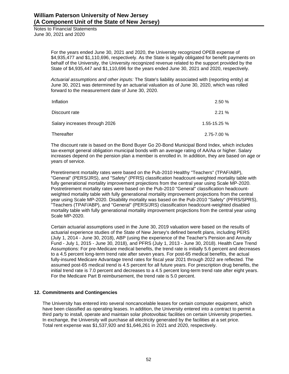> For the years ended June 30, 2021 and 2020, the University recognized OPEB expense of \$4,935,477 and \$1,110,696, respectively. As the State is legally obligated for benefit payments on behalf of the University, the University recognized revenue related to the support provided by the State of \$4,935,447 and \$1,110,696 for the years ended June 30, 2021 and 2020, respectively.

*Actuarial assumptions and other inputs:* The State's liability associated with (reporting entity) at June 30, 2021 was determined by an actuarial valuation as of June 30, 2020, which was rolled forward to the measurement date of June 30, 2020.

| Inflation                     | 2.50%            |
|-------------------------------|------------------|
| Discount rate                 | 2.21%            |
| Salary increases through 2026 | $1.55 - 15.25$ % |
| Thereafter                    | 2.75-7.00 %      |

The discount rate is based on the Bond Buyer Go 20-Bond Municipal Bond Index, which includes tax-exempt general obligation municipal bonds with an average rating of AA/Aa or higher. Salary increases depend on the pension plan a member is enrolled in. In addition, they are based on age or years of service.

Preretirement mortality rates were based on the Pub-2010 Healthy "Teachers" (TPAF/ABP), "General" (PERS/JRS), and "Safety" (PFRS) classification headcount-weighted mortality table with fully generational mortality improvement projections from the central year using Scale MP-2020. Postretirement mortality rates were based on the Pub-2010 "General" classification headcountweighted mortality table with fully generational mortality improvement projections from the central year using Scale MP-2020. Disability mortality was based on the Pub-2010 "Safety" (PFRS/SPRS), "Teachers (TPAF/ABP), and "General" (PERS/JRS) classification headcount-weighted disabled mortality table with fully generational mortality improvement projections from the central year using Scale MP-2020.

Certain actuarial assumptions used in the June 30, 2019 valuation were based on the results of actuarial experience studies of the State of New Jersey's defined benefit plans, including PERS (July 1, 2014 - June 30, 2018), ABP (using the experience of the Teacher's Pension and Annuity Fund - July 1, 2015 - June 30, 2018), and PFRS (July 1, 2013 - June 30, 2018). Health Care Trend Assumptions: For pre-Medicare medical benefits, the trend rate is initially 5.6 percent and decreases to a 4.5 percent long-term trend rate after seven years. For post-65 medical benefits, the actual fully-insured Medicare Advantage trend rates for fiscal year 2021 through 2022 are reflected. The assumed post-65 medical trend is 4.5 percent for all future years. For prescription drug benefits, the initial trend rate is 7.0 percent and decreases to a 4.5 percent long-term trend rate after eight years. For the Medicare Part B reimbursement, the trend rate is 5.0 percent.

### **12. Commitments and Contingencies**

The University has entered into several noncancelable leases for certain computer equipment, which have been classified as operating leases. In addition, the University entered into a contract to permit a third party to install, operate and maintain solar photovoltaic facilities on certain University properties. In exchange, the University will purchase all electricity generated by the facilities at a set price. Total rent expense was \$1,537,920 and \$1,646,261 in 2021 and 2020, respectively.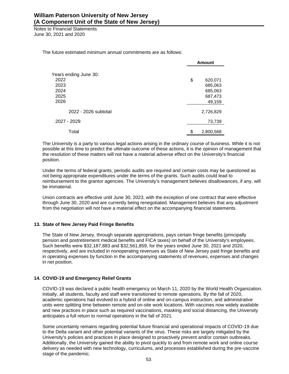The future estimated minimum annual commitments are as follows:

|                       | Amount          |
|-----------------------|-----------------|
| Years ending June 30: |                 |
| 2022                  | \$<br>620,071   |
| 2023                  | 685,063         |
| 2024                  | 685,063         |
| 2025                  | 687,473         |
| 2026                  | 49,159          |
| 2022 - 2026 subtotal  | 2,726,829       |
| 2027 - 2029           | 73,739          |
| Total                 | \$<br>2,800,568 |

The University is a party to various legal actions arising in the ordinary course of business. While it is not possible at this time to predict the ultimate outcome of these actions, it is the opinion of management that the resolution of these matters will not have a material adverse effect on the University's financial position.

Under the terms of federal grants, periodic audits are required and certain costs may be questioned as not being appropriate expenditures under the terms of the grants. Such audits could lead to reimbursement to the grantor agencies. The University's management believes disallowances, if any, will be immaterial.

Union contracts are effective until June 30, 2023, with the exception of one contract that were effective through June 30, 2020 and are currently being renegotiated. Management believes that any adjustment from the negotiation will not have a material effect on the accompanying financial statements.

### **13. State of New Jersey Paid Fringe Benefits**

The State of New Jersey, through separate appropriations, pays certain fringe benefits (principally pension and postretirement medical benefits and FICA taxes) on behalf of the University's employees. Such benefits were \$32,187,883 and \$32,561,859, for the years ended June 30, 2021 and 2020, respectively, and are included in nonoperating revenues as State of New Jersey paid fringe benefits and in operating expenses by function in the accompanying statements of revenues, expenses and changes in net position.

### **14. COVID-19 and Emergency Relief Grants**

COVID-19 was declared a public health emergency on March 11, 2020 by the World Health Organization. Initially, all students, faculty and staff were transitioned to remote operations. By the fall of 2020, academic operations had evolved to a hybrid of online and on-campus instruction, and administrative units were splitting time between remote and on-site work locations. With vaccines now widely available and new practices in place such as required vaccinations, masking and social distancing, the University anticipates a full return to normal operations in the fall of 2021.

Some uncertainty remains regarding potential future financial and operational impacts of COVID-19 due to the Delta variant and other potential variants of the virus. These risks are largely mitigated by the University's policies and practices in place designed to proactively prevent and/or contain outbreaks. Additionally, the University gained the ability to pivot quickly to and from remote work and online course delivery as needed with new technology, curriculums, and processes established during the pre-vaccine stage of the pandemic.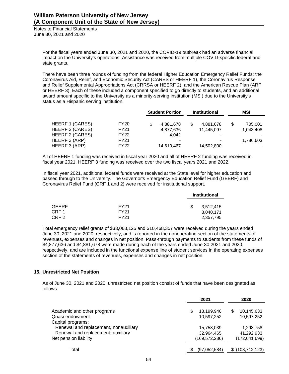> For the fiscal years ended June 30, 2021 and 2020, the COVID-19 outbreak had an adverse financial impact on the University's operations. Assistance was received from multiple COVID-specific federal and state grants.

> There have been three rounds of funding from the federal Higher Education Emergency Relief Funds: the Coronavirus Aid, Relief, and Economic Security Act (CARES or HEERF 1), the Coronavirus Response and Relief Supplemental Appropriations Act (CRRSA or HEERF 2), and the American Rescue Plan (ARP or HEERF 3). Each of these included a component specified to go directly to students, and an additional award amount specific to the University as a minority-serving institution (MSI) due to the University's status as a Hispanic serving institution.

|                        |      | <b>Student Portion</b><br><b>Institutional</b> |  |                |   | <b>MSI</b> |
|------------------------|------|------------------------------------------------|--|----------------|---|------------|
|                        |      |                                                |  |                |   |            |
| <b>HEERF 1 (CARES)</b> | FY20 | 4.881.678                                      |  | 4,881,678      | S | 705.001    |
| HEERF 2 (CARES)        | FY21 | 4,877,636                                      |  | 11.445.097     |   | 1.043.408  |
| HEERF 2 (CARES)        | FY22 | 4.042                                          |  | $\,$           |   |            |
| HEERF 3 (ARP)          | FY21 | $\overline{\phantom{0}}$                       |  | $\blacksquare$ |   | 1.786.603  |
| HEERF 3 (ARP)          | FY22 | 14,610,467                                     |  | 14,502,800     |   |            |

All of HEERF 1 funding was received in fiscal year 2020 and all of HEERF 2 funding was received in fiscal year 2021. HEERF 3 funding was received over the two fiscal years 2021 and 2022.

In fiscal year 2021, additional federal funds were received at the State level for higher education and passed through to the University. The Governor's Emergency Education Relief Fund (GEERF) and Coronavirus Relief Fund (CRF 1 and 2) were received for institutional support.

|       |      | <b>Institutional</b> |           |  |
|-------|------|----------------------|-----------|--|
| GEERF | FY21 | S.                   | 3,512,415 |  |
| CRF 1 | FY21 |                      | 8,040,171 |  |
| CRF 2 | FY21 |                      | 2,357,795 |  |

Total emergency relief grants of \$33,063,125 and \$10,468,357 were received during the years ended June 30, 2021 and 2020, respectively, and is reported in the nonoperating section of the statements of revenues, expenses and changes in net position. Pass-through payments to students from these funds of \$4,877,636 and \$4,881,678 were made during each of the years ended June 30 2021 and 2020, respectively, and are included in the functional expense line of student services in the operating expenses section of the statements of revenues, expenses and changes in net position.

### **15. Unrestricted Net Position**

As of June 30, 2021 and 2020, unrestricted net position consist of funds that have been designated as follows:

|                                       | 2021          | 2020                  |  |
|---------------------------------------|---------------|-----------------------|--|
| Academic and other programs           | 13,199,946    | 10,145,633<br>S       |  |
| Quasi-endowment                       | 10,597,252    | 10,597,252            |  |
| Capital programs:                     |               |                       |  |
| Renewal and replacement, nonauxiliary | 15,758,039    | 1,293,758             |  |
| Renewal and replacement, auxiliary    | 32,964,465    | 41,292,933            |  |
| Net pension liability                 | (169,572,286) | (172,041,699)         |  |
|                                       |               |                       |  |
| Total                                 | (97,052,584)  | (108, 712, 123)<br>£. |  |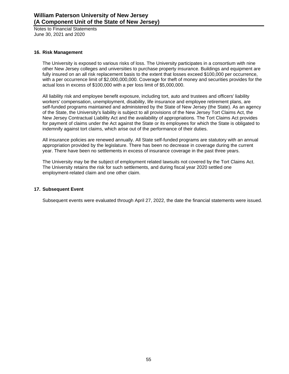### **16. Risk Management**

The University is exposed to various risks of loss. The University participates in a consortium with nine other New Jersey colleges and universities to purchase property insurance. Buildings and equipment are fully insured on an all risk replacement basis to the extent that losses exceed \$100,000 per occurrence, with a per occurrence limit of \$2,000,000,000. Coverage for theft of money and securities provides for the actual loss in excess of \$100,000 with a per loss limit of \$5,000,000.

All liability risk and employee benefit exposure, including tort, auto and trustees and officers' liability workers' compensation, unemployment, disability, life insurance and employee retirement plans, are self-funded programs maintained and administered by the State of New Jersey (the State). As an agency of the State, the University's liability is subject to all provisions of the New Jersey Tort Claims Act, the New Jersey Contractual Liability Act and the availability of appropriations. The Tort Claims Act provides for payment of claims under the Act against the State or its employees for which the State is obligated to indemnify against tort claims, which arise out of the performance of their duties.

All insurance policies are renewed annually. All State self-funded programs are statutory with an annual appropriation provided by the legislature. There has been no decrease in coverage during the current year. There have been no settlements in excess of insurance coverage in the past three years.

The University may be the subject of employment related lawsuits not covered by the Tort Claims Act. The University retains the risk for such settlements, and during fiscal year 2020 settled one employment-related claim and one other claim.

### **17. Subsequent Event**

Subsequent events were evaluated through April 27, 2022, the date the financial statements were issued.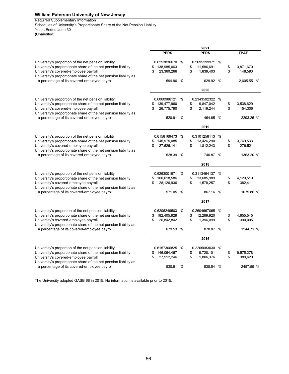(Unaudited) Required Supplementary Information Schedules of University's Proportionate Share of the Net Pension Liability Years Ended June 30

|                                                                                                                                                                                                                                    |                                                         |          | 2021                                    |      |          |                      |
|------------------------------------------------------------------------------------------------------------------------------------------------------------------------------------------------------------------------------------|---------------------------------------------------------|----------|-----------------------------------------|------|----------|----------------------|
|                                                                                                                                                                                                                                    | <b>PERS</b>                                             |          | <b>PFRS</b>                             |      |          | <b>TPAF</b>          |
| University's proportion of the net pension liability<br>University's proportionate share of the net pension liability<br>University's covered-employee payroll<br>University's proportionate share of the net pension liability as | 0.6253836670 %<br>138,985,063<br>\$<br>23,360,266<br>\$ | \$<br>\$ | 0.2695199971<br>11,586,691<br>1,839,403 | $\%$ | \$<br>\$ | 3,871,670<br>148,593 |
| a percentage of its covered-employee payroll                                                                                                                                                                                       | 594.96 %                                                |          | 629.92 %                                |      |          | 2,605.55 %           |
|                                                                                                                                                                                                                                    |                                                         |          | 2020                                    |      |          |                      |
| University's proportion of the net pension liability                                                                                                                                                                               | 0.6060986121                                            | $\%$     | 0.2343592322                            | $\%$ |          |                      |
| University's proportionate share of the net pension liability                                                                                                                                                                      | 139,477,960<br>\$                                       | \$       | 9,847,042                               |      | \$       | 3,538,629            |
| University's covered-employee payroll<br>University's proportionate share of the net pension liability as                                                                                                                          | 26,775,790<br>\$                                        | \$       | 2,119,244                               |      | \$       | 154,306              |
| a percentage of its covered-employee payroll                                                                                                                                                                                       | 520.91 %                                                |          | 464.65 %                                |      |          | 2293.25 %            |
|                                                                                                                                                                                                                                    |                                                         |          | 2019                                    |      |          |                      |
| University's proportion of the net pension liability                                                                                                                                                                               | 0.6158169473 %                                          |          | 0.3101258113 %                          |      |          |                      |
| University's proportionate share of the net pension liability                                                                                                                                                                      | 145,975,085                                             | \$       | 13,426,290                              |      | \$       | 3,769,533            |
| University's covered-employee payroll<br>University's proportionate share of the net pension liability as                                                                                                                          | 27,626,141<br>\$                                        | \$       | 1,812,243                               |      | \$       | 276,521              |
| a percentage of its covered-employee payroll                                                                                                                                                                                       | 528.39 %                                                |          | 740.87 %                                |      |          | 1363.20 %            |
|                                                                                                                                                                                                                                    |                                                         |          | 2018                                    |      |          |                      |
| University's proportion of the net pension liability                                                                                                                                                                               | 0.6263001971                                            | $\%$     | 0.3113464137                            | $\%$ |          |                      |
| University's proportionate share of the net pension liability                                                                                                                                                                      | 160,618,586<br>\$                                       | \$       | 13,685,989                              |      | \$       | 4,129,519            |
| University's covered-employee payroll<br>University's proportionate share of the net pension liability as                                                                                                                          | 28,126,936                                              | \$       | 1,578,257                               |      | \$       | 382,411              |
| a percentage of its covered-employee payroll                                                                                                                                                                                       | 571.05 %                                                |          | 867.16 %                                |      |          | 1079.86 %            |
|                                                                                                                                                                                                                                    |                                                         |          | 2017                                    |      |          |                      |
| University's proportion of the net pension liability                                                                                                                                                                               | 0.6206249503                                            | %        | 0.2604667065                            | %    |          |                      |
| University's proportionate share of the net pension liability                                                                                                                                                                      | 182,405,929<br>S                                        | \$       | 12,269,920                              |      | \$       | 4,855,545            |
| University's covered-employee payroll<br>University's proportionate share of the net pension liability as                                                                                                                          | 26,842,842<br>\$                                        | \$       | 1,396,099                               |      | \$       | 390,095              |
| a percentage of its covered-employee payroll                                                                                                                                                                                       | 679.53 %                                                |          | 878.87 %                                |      |          | 1244.71 %            |
|                                                                                                                                                                                                                                    |                                                         |          | 2016                                    |      |          |                      |
| University's proportion of the net pension liability                                                                                                                                                                               | 0.6157306825 %                                          |          | 0.2265683030                            | %    |          |                      |
| University's proportionate share of the net pension liability                                                                                                                                                                      | 146,064,467                                             | \$       | 9,728,101                               |      | \$       | 9,575,278            |
| University's covered-employee payroll<br>University's proportionate share of the net pension liability as                                                                                                                          | 27,512,246<br>\$                                        | \$       | 1,806,376                               |      | \$       | 389,620              |
| a percentage of its covered-employee payroll                                                                                                                                                                                       | 530.91 %                                                |          | 538.54 %                                |      |          | 2457.59 %            |

The University adopted GASB 68 in 2015. No information is available prior to 2015.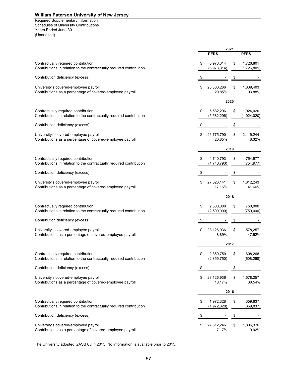(Unaudited) Required Supplementary Information Years Ended June 30 Schedules of University Contributions

|                                                                                                             | 2021                           |                                |
|-------------------------------------------------------------------------------------------------------------|--------------------------------|--------------------------------|
|                                                                                                             | <b>PERS</b>                    | <b>PFRS</b>                    |
| Contractually required contribution<br>Contributions in relation to the contractually required contribution | \$<br>6,973,314<br>(6,973,314) | \$<br>1,726,801<br>(1,726,801) |
| Contribution deficiency (excess)                                                                            | \$                             | \$                             |
| University's covered-employee payroll<br>Contributions as a percentage of covered-employee payroll          | \$<br>23,360,266<br>29.85%     | \$<br>1,839,403<br>93.88%      |
|                                                                                                             | 2020                           |                                |
| Contractually required contribution<br>Contributions in relation to the contractually required contribution | \$<br>5,582,296<br>(5,582,296) | \$<br>1,024,020<br>(1,024,020) |
| Contribution deficiency (excess)                                                                            | \$                             | \$                             |
| University's covered-employee payroll<br>Contributions as a percentage of covered-employee payroll          | \$<br>26,775,790<br>20.85%     | \$<br>2,119,244<br>48.32%      |
|                                                                                                             | 2019                           |                                |
| Contractually required contribution<br>Contributions in relation to the contractually required contribution | \$<br>4,740,793<br>(4,740,793) | \$<br>754,977<br>(754, 977)    |
| Contribution deficiency (excess)                                                                            | \$                             | \$                             |
| University's covered-employee payroll<br>Contributions as a percentage of covered-employee payroll          | \$<br>27,626,141<br>17.16%     | \$<br>1,812,243<br>41.66%      |
|                                                                                                             | 2018                           |                                |
| Contractually required contribution<br>Contributions in relation to the contractually required contribution | \$<br>2,500,000<br>(2,500,000) | 750,000<br>\$<br>(750,000)     |
| Contribution deficiency (excess)                                                                            | \$                             | \$                             |
| University's covered-employee payroll<br>Contributions as a percentage of covered-employee payroll          | \$<br>28,126,936<br>8.89%      | \$<br>1,578,257<br>47.52%      |
|                                                                                                             | 2017                           |                                |
| Contractually required contribution<br>Contributions in relation to the contractually required contribution | \$<br>2,859,750<br>(2,859,750) | \$<br>608,268<br>(608, 268)    |
| Contribution deficiency (excess)                                                                            | \$                             | \$                             |
| University's covered-employee payroll<br>Contributions as a percentage of covered-employee payroll          | \$<br>28,126,936<br>10.17%     | \$<br>1,578,257<br>38.54%      |
|                                                                                                             | 2016                           |                                |
| Contractually required contribution<br>Contributions in relation to the contractually required contribution | 1,972,328<br>\$<br>(1,972,328) | \$<br>359,837<br>(359, 837)    |
| Contribution deficiency (excess)                                                                            | S                              | \$                             |
| University's covered-employee payroll<br>Contributions as a percentage of covered-employee payroll          | 27,512,246<br>\$<br>7.17%      | \$<br>1,806,376<br>19.92%      |

The University adopted GASB 68 in 2015. No information is available prior to 2015.